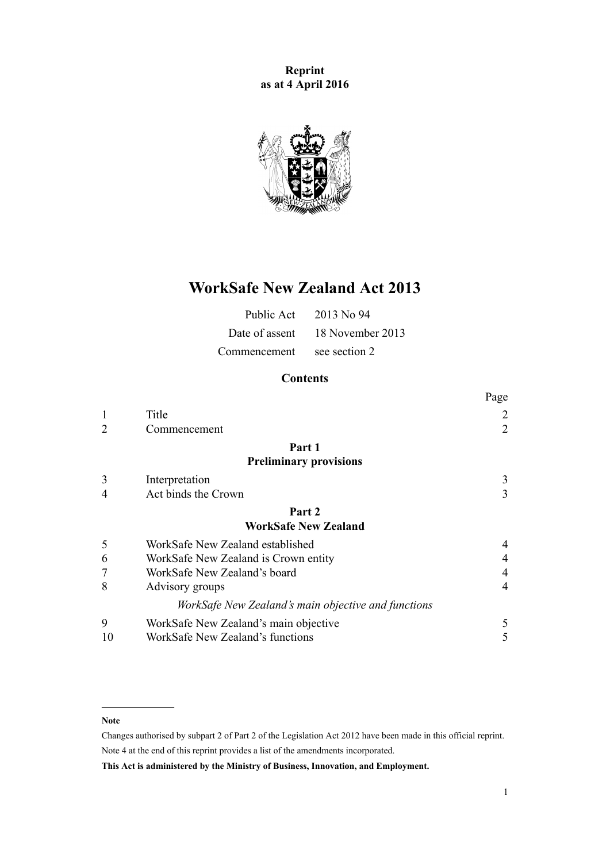**Reprint as at 4 April 2016**



# **WorkSafe New Zealand Act 2013**

| Public Act   | $-2013$ No 94                   |
|--------------|---------------------------------|
|              | Date of assent 18 November 2013 |
| Commencement | see section 2                   |

## **Contents**

|                |                                                     | Page           |
|----------------|-----------------------------------------------------|----------------|
| 1              | Title                                               | 2              |
| $\overline{2}$ | Commencement                                        | $\overline{2}$ |
|                | Part 1                                              |                |
|                | <b>Preliminary provisions</b>                       |                |
| 3              | Interpretation                                      | 3              |
| 4              | Act binds the Crown                                 | 3              |
|                | Part 2                                              |                |
|                | <b>WorkSafe New Zealand</b>                         |                |
| 5              | WorkSafe New Zealand established                    | 4              |
| 6              | WorkSafe New Zealand is Crown entity                | 4              |
| 7              | WorkSafe New Zealand's board                        | 4              |
| 8              | Advisory groups                                     | $\overline{4}$ |
|                | WorkSafe New Zealand's main objective and functions |                |
| 9              | WorkSafe New Zealand's main objective               | 5              |
| 10             | WorkSafe New Zealand's functions                    | 5              |
|                |                                                     |                |

#### **Note**

Changes authorised by [subpart 2](http://prd-lgnz-nlb.prd.pco.net.nz/pdflink.aspx?id=DLM2998524) of Part 2 of the Legislation Act 2012 have been made in this official reprint. Note 4 at the end of this reprint provides a list of the amendments incorporated.

**This Act is administered by the Ministry of Business, Innovation, and Employment.**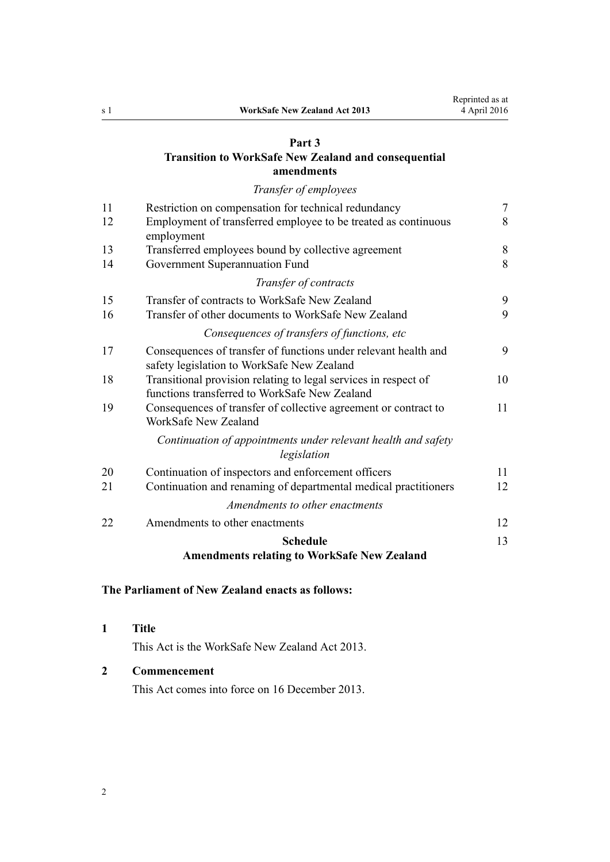## <span id="page-1-0"></span>**[Part 3](#page-6-0) [Transition to WorkSafe New Zealand and consequential](#page-6-0) [amendments](#page-6-0)**

*[Transfer of employees](#page-6-0)*

| 11 | Restriction on compensation for technical redundancy                                                             |    |  |  |  |
|----|------------------------------------------------------------------------------------------------------------------|----|--|--|--|
| 12 | Employment of transferred employee to be treated as continuous<br>employment                                     | 8  |  |  |  |
| 13 | Transferred employees bound by collective agreement                                                              | 8  |  |  |  |
| 14 | Government Superannuation Fund                                                                                   |    |  |  |  |
|    | Transfer of contracts                                                                                            |    |  |  |  |
| 15 | Transfer of contracts to WorkSafe New Zealand                                                                    | 9  |  |  |  |
| 16 | Transfer of other documents to WorkSafe New Zealand                                                              |    |  |  |  |
|    | Consequences of transfers of functions, etc                                                                      |    |  |  |  |
| 17 | Consequences of transfer of functions under relevant health and<br>safety legislation to WorkSafe New Zealand    | 9  |  |  |  |
| 18 | Transitional provision relating to legal services in respect of<br>functions transferred to WorkSafe New Zealand | 10 |  |  |  |
| 19 | Consequences of transfer of collective agreement or contract to<br>WorkSafe New Zealand                          | 11 |  |  |  |
|    | Continuation of appointments under relevant health and safety<br>legislation                                     |    |  |  |  |
| 20 | Continuation of inspectors and enforcement officers                                                              | 11 |  |  |  |
| 21 | Continuation and renaming of departmental medical practitioners                                                  | 12 |  |  |  |
|    | Amendments to other enactments                                                                                   |    |  |  |  |
| 22 | Amendments to other enactments                                                                                   | 12 |  |  |  |
|    | <b>Schedule</b>                                                                                                  | 13 |  |  |  |
|    | $\mathbf{r}$ and $\mathbf{r}$ and $\mathbf{r}$<br>$\mathbf{r}$ . The set of $\mathbf{r}$<br>$\sim$ $\sim$        |    |  |  |  |

## **[Amendments relating to WorkSafe New Zealand](#page-12-0)**

## **The Parliament of New Zealand enacts as follows:**

### **1 Title**

This Act is the WorkSafe New Zealand Act 2013.

## **2 Commencement**

This Act comes into force on 16 December 2013.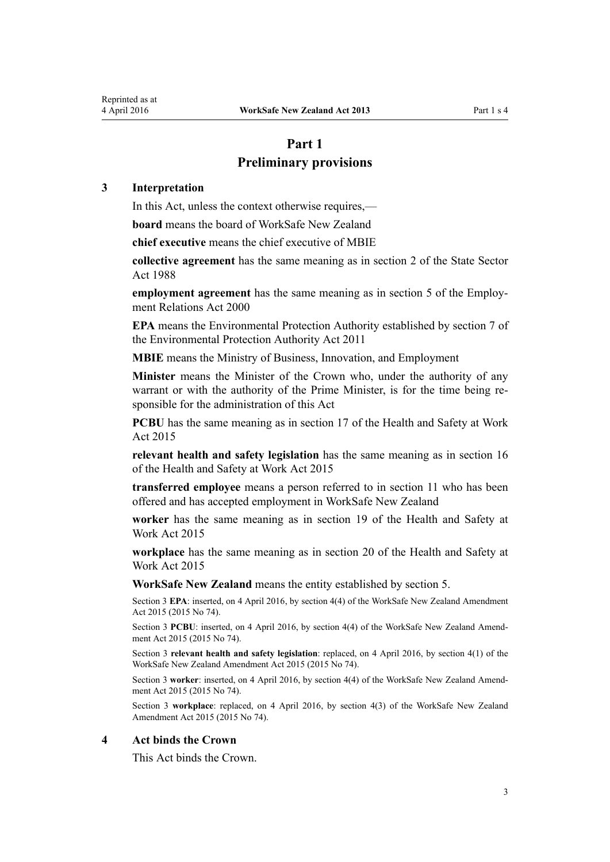## **Part 1**

## **Preliminary provisions**

## <span id="page-2-0"></span>**3 Interpretation**

In this Act, unless the context otherwise requires,—

**board** means the board of WorkSafe New Zealand

**chief executive** means the chief executive of MBIE

**collective agreement** has the same meaning as in [section 2](http://prd-lgnz-nlb.prd.pco.net.nz/pdflink.aspx?id=DLM129117) of the State Sector Act 1988

**employment agreement** has the same meaning as in [section 5](http://prd-lgnz-nlb.prd.pco.net.nz/pdflink.aspx?id=DLM58337) of the Employment Relations Act 2000

**EPA** means the Environmental Protection Authority established by [section 7](http://prd-lgnz-nlb.prd.pco.net.nz/pdflink.aspx?id=DLM3366850) of the Environmental Protection Authority Act 2011

**MBIE** means the Ministry of Business, Innovation, and Employment

**Minister** means the Minister of the Crown who, under the authority of any warrant or with the authority of the Prime Minister, is for the time being responsible for the administration of this Act

**PCBU** has the same meaning as in [section 17](http://prd-lgnz-nlb.prd.pco.net.nz/pdflink.aspx?id=DLM5976849) of the Health and Safety at Work Act 2015

**relevant health and safety legislation** has the same meaning as in [section 16](http://prd-lgnz-nlb.prd.pco.net.nz/pdflink.aspx?id=DLM5976687) of the Health and Safety at Work Act 2015

**transferred employee** means a person referred to in [section 11](#page-6-0) who has been offered and has accepted employment in WorkSafe New Zealand

**worker** has the same meaning as in [section 19](http://prd-lgnz-nlb.prd.pco.net.nz/pdflink.aspx?id=DLM5976853) of the Health and Safety at Work Act 2015

**workplace** has the same meaning as in [section 20](http://prd-lgnz-nlb.prd.pco.net.nz/pdflink.aspx?id=DLM5976855) of the Health and Safety at Work Act 2015

**WorkSafe New Zealand** means the entity established by [section 5.](#page-3-0)

Section 3 **EPA**: inserted, on 4 April 2016, by [section 4\(4\)](http://prd-lgnz-nlb.prd.pco.net.nz/pdflink.aspx?id=DLM6565408) of the WorkSafe New Zealand Amendment Act 2015 (2015 No 74).

Section 3 **PCBU**: inserted, on 4 April 2016, by [section 4\(4\)](http://prd-lgnz-nlb.prd.pco.net.nz/pdflink.aspx?id=DLM6565408) of the WorkSafe New Zealand Amendment Act 2015 (2015 No 74).

Section 3 **relevant health and safety legislation**: replaced, on 4 April 2016, by [section 4\(1\)](http://prd-lgnz-nlb.prd.pco.net.nz/pdflink.aspx?id=DLM6565408) of the WorkSafe New Zealand Amendment Act 2015 (2015 No 74).

Section 3 **worker**: inserted, on 4 April 2016, by [section 4\(4\)](http://prd-lgnz-nlb.prd.pco.net.nz/pdflink.aspx?id=DLM6565408) of the WorkSafe New Zealand Amendment Act 2015 (2015 No 74).

Section 3 **workplace**: replaced, on 4 April 2016, by [section 4\(3\)](http://prd-lgnz-nlb.prd.pco.net.nz/pdflink.aspx?id=DLM6565408) of the WorkSafe New Zealand Amendment Act 2015 (2015 No 74).

#### **4 Act binds the Crown**

This Act binds the Crown.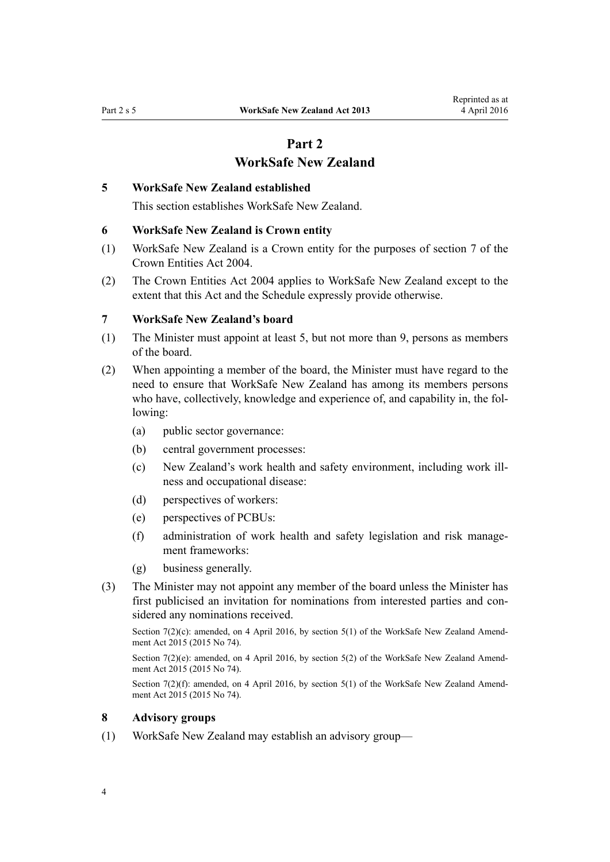## **Part 2 WorkSafe New Zealand**

#### <span id="page-3-0"></span>**5 WorkSafe New Zealand established**

This section establishes WorkSafe New Zealand.

### **6 WorkSafe New Zealand is Crown entity**

- (1) WorkSafe New Zealand is a Crown entity for the purposes of [section 7](http://prd-lgnz-nlb.prd.pco.net.nz/pdflink.aspx?id=DLM329641) of the Crown Entities Act 2004.
- (2) The [Crown Entities Act 2004](http://prd-lgnz-nlb.prd.pco.net.nz/pdflink.aspx?id=DLM329630) applies to WorkSafe New Zealand except to the extent that this Act and the Schedule expressly provide otherwise.

#### **7 WorkSafe New Zealand's board**

- (1) The Minister must appoint at least 5, but not more than 9, persons as members of the board.
- (2) When appointing a member of the board, the Minister must have regard to the need to ensure that WorkSafe New Zealand has among its members persons who have, collectively, knowledge and experience of, and capability in, the following:
	- (a) public sector governance:
	- (b) central government processes:
	- (c) New Zealand's work health and safety environment, including work illness and occupational disease:
	- (d) perspectives of workers:
	- (e) perspectives of PCBUs:
	- (f) administration of work health and safety legislation and risk management frameworks:
	- (g) business generally.
- (3) The Minister may not appoint any member of the board unless the Minister has first publicised an invitation for nominations from interested parties and considered any nominations received.

Section 7(2)(c): amended, on 4 April 2016, by [section 5\(1\)](http://prd-lgnz-nlb.prd.pco.net.nz/pdflink.aspx?id=DLM6565422) of the WorkSafe New Zealand Amendment Act 2015 (2015 No 74).

Section 7(2)(e): amended, on 4 April 2016, by [section 5\(2\)](http://prd-lgnz-nlb.prd.pco.net.nz/pdflink.aspx?id=DLM6565422) of the WorkSafe New Zealand Amendment Act 2015 (2015 No 74).

Section 7(2)(f): amended, on 4 April 2016, by [section 5\(1\)](http://prd-lgnz-nlb.prd.pco.net.nz/pdflink.aspx?id=DLM6565422) of the WorkSafe New Zealand Amendment Act 2015 (2015 No 74).

#### **8 Advisory groups**

(1) WorkSafe New Zealand may establish an advisory group—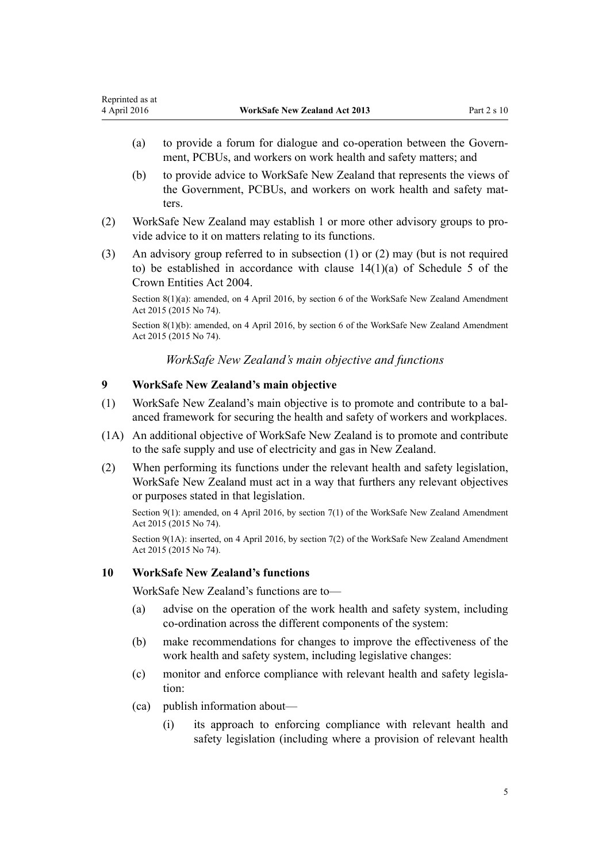- <span id="page-4-0"></span>(a) to provide a forum for dialogue and co-operation between the Government, PCBUs, and workers on work health and safety matters; and
- (b) to provide advice to WorkSafe New Zealand that represents the views of the Government, PCBUs, and workers on work health and safety matters.
- (2) WorkSafe New Zealand may establish 1 or more other advisory groups to provide advice to it on matters relating to its functions.
- (3) An advisory group referred to in subsection (1) or (2) may (but is not required to) be established in accordance with clause  $14(1)(a)$  of Schedule 5 of the Crown Entities Act 2004.

Section 8(1)(a): amended, on 4 April 2016, by [section 6](http://prd-lgnz-nlb.prd.pco.net.nz/pdflink.aspx?id=DLM6565423) of the WorkSafe New Zealand Amendment Act 2015 (2015 No 74).

Section 8(1)(b): amended, on 4 April 2016, by [section 6](http://prd-lgnz-nlb.prd.pco.net.nz/pdflink.aspx?id=DLM6565423) of the WorkSafe New Zealand Amendment Act 2015 (2015 No 74).

*WorkSafe New Zealand's main objective and functions*

## **9 WorkSafe New Zealand's main objective**

- (1) WorkSafe New Zealand's main objective is to promote and contribute to a balanced framework for securing the health and safety of workers and workplaces.
- (1A) An additional objective of WorkSafe New Zealand is to promote and contribute to the safe supply and use of electricity and gas in New Zealand.
- (2) When performing its functions under the relevant health and safety legislation, WorkSafe New Zealand must act in a way that furthers any relevant objectives or purposes stated in that legislation.

Section 9(1): amended, on 4 April 2016, by [section 7\(1\)](http://prd-lgnz-nlb.prd.pco.net.nz/pdflink.aspx?id=DLM6565424) of the WorkSafe New Zealand Amendment Act 2015 (2015 No 74).

Section 9(1A): inserted, on 4 April 2016, by [section 7\(2\)](http://prd-lgnz-nlb.prd.pco.net.nz/pdflink.aspx?id=DLM6565424) of the WorkSafe New Zealand Amendment Act 2015 (2015 No 74).

## **10 WorkSafe New Zealand's functions**

WorkSafe New Zealand's functions are to—

- (a) advise on the operation of the work health and safety system, including co-ordination across the different components of the system:
- (b) make recommendations for changes to improve the effectiveness of the work health and safety system, including legislative changes:
- (c) monitor and enforce compliance with relevant health and safety legislation:
- (ca) publish information about—
	- (i) its approach to enforcing compliance with relevant health and safety legislation (including where a provision of relevant health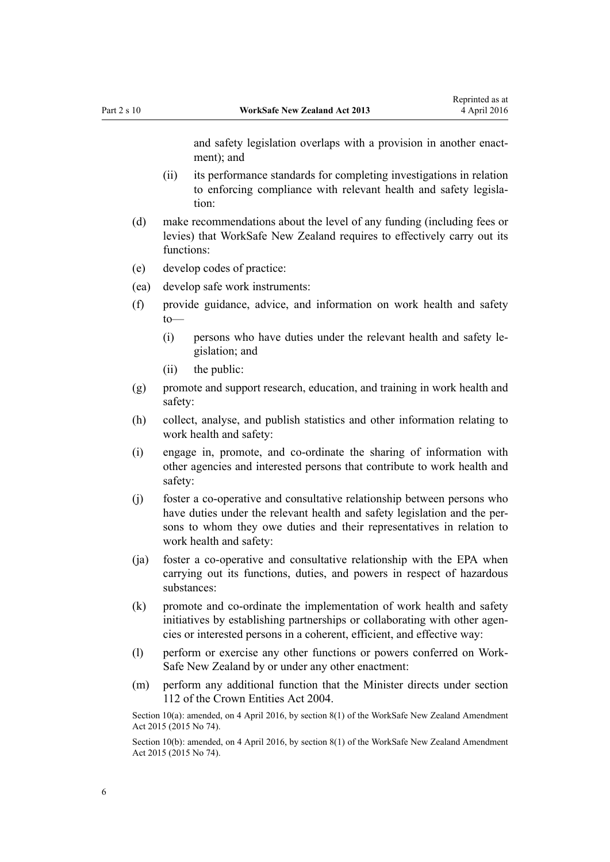and safety legislation overlaps with a provision in another enactment); and

- (ii) its performance standards for completing investigations in relation to enforcing compliance with relevant health and safety legislation:
- (d) make recommendations about the level of any funding (including fees or levies) that WorkSafe New Zealand requires to effectively carry out its functions:
- (e) develop codes of practice:
- (ea) develop safe work instruments:
- (f) provide guidance, advice, and information on work health and safety to—
	- (i) persons who have duties under the relevant health and safety legislation; and
	- (ii) the public:
- (g) promote and support research, education, and training in work health and safety:
- (h) collect, analyse, and publish statistics and other information relating to work health and safety:
- (i) engage in, promote, and co-ordinate the sharing of information with other agencies and interested persons that contribute to work health and safety:
- (j) foster a co-operative and consultative relationship between persons who have duties under the relevant health and safety legislation and the persons to whom they owe duties and their representatives in relation to work health and safety:
- (ja) foster a co-operative and consultative relationship with the EPA when carrying out its functions, duties, and powers in respect of hazardous substances:
- (k) promote and co-ordinate the implementation of work health and safety initiatives by establishing partnerships or collaborating with other agencies or interested persons in a coherent, efficient, and effective way:
- (l) perform or exercise any other functions or powers conferred on Work-Safe New Zealand by or under any other enactment:
- (m) perform any additional function that the Minister directs under [section](http://prd-lgnz-nlb.prd.pco.net.nz/pdflink.aspx?id=DLM330360) [112](http://prd-lgnz-nlb.prd.pco.net.nz/pdflink.aspx?id=DLM330360) of the Crown Entities Act 2004.

Section 10(a): amended, on 4 April 2016, by [section 8\(1\)](http://prd-lgnz-nlb.prd.pco.net.nz/pdflink.aspx?id=DLM6565425) of the WorkSafe New Zealand Amendment Act 2015 (2015 No 74).

Section 10(b): amended, on 4 April 2016, by [section 8\(1\)](http://prd-lgnz-nlb.prd.pco.net.nz/pdflink.aspx?id=DLM6565425) of the WorkSafe New Zealand Amendment Act 2015 (2015 No 74).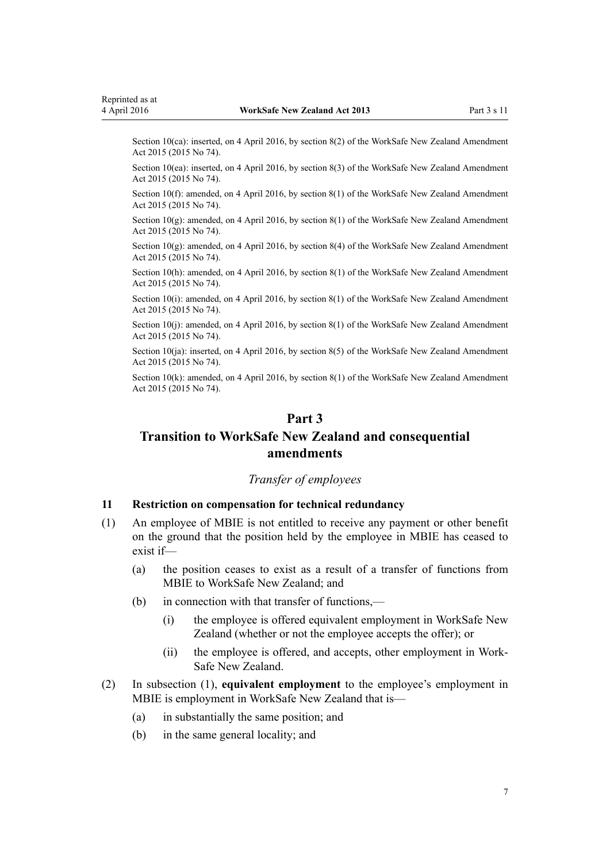<span id="page-6-0"></span>Section 10(ca): inserted, on 4 April 2016, by [section 8\(2\)](http://prd-lgnz-nlb.prd.pco.net.nz/pdflink.aspx?id=DLM6565425) of the WorkSafe New Zealand Amendment Act 2015 (2015 No 74).

Section 10(ea): inserted, on 4 April 2016, by [section 8\(3\)](http://prd-lgnz-nlb.prd.pco.net.nz/pdflink.aspx?id=DLM6565425) of the WorkSafe New Zealand Amendment Act 2015 (2015 No 74).

Section 10(f): amended, on 4 April 2016, by [section 8\(1\)](http://prd-lgnz-nlb.prd.pco.net.nz/pdflink.aspx?id=DLM6565425) of the WorkSafe New Zealand Amendment Act 2015 (2015 No 74).

Section 10(g): amended, on 4 April 2016, by [section 8\(1\)](http://prd-lgnz-nlb.prd.pco.net.nz/pdflink.aspx?id=DLM6565425) of the WorkSafe New Zealand Amendment Act 2015 (2015 No 74).

Section  $10(g)$ : amended, on 4 April 2016, by [section 8\(4\)](http://prd-lgnz-nlb.prd.pco.net.nz/pdflink.aspx?id=DLM6565425) of the WorkSafe New Zealand Amendment Act 2015 (2015 No 74).

Section 10(h): amended, on 4 April 2016, by [section 8\(1\)](http://prd-lgnz-nlb.prd.pco.net.nz/pdflink.aspx?id=DLM6565425) of the WorkSafe New Zealand Amendment Act 2015 (2015 No 74).

Section 10(i): amended, on 4 April 2016, by [section 8\(1\)](http://prd-lgnz-nlb.prd.pco.net.nz/pdflink.aspx?id=DLM6565425) of the WorkSafe New Zealand Amendment Act 2015 (2015 No 74).

Section 10(j): amended, on 4 April 2016, by [section 8\(1\)](http://prd-lgnz-nlb.prd.pco.net.nz/pdflink.aspx?id=DLM6565425) of the WorkSafe New Zealand Amendment Act 2015 (2015 No 74).

Section 10(ja): inserted, on 4 April 2016, by [section 8\(5\)](http://prd-lgnz-nlb.prd.pco.net.nz/pdflink.aspx?id=DLM6565425) of the WorkSafe New Zealand Amendment Act 2015 (2015 No 74).

Section 10(k): amended, on 4 April 2016, by [section 8\(1\)](http://prd-lgnz-nlb.prd.pco.net.nz/pdflink.aspx?id=DLM6565425) of the WorkSafe New Zealand Amendment Act 2015 (2015 No 74).

## **Part 3**

## **Transition to WorkSafe New Zealand and consequential amendments**

## *Transfer of employees*

#### **11 Restriction on compensation for technical redundancy**

- (1) An employee of MBIE is not entitled to receive any payment or other benefit on the ground that the position held by the employee in MBIE has ceased to exist if—
	- (a) the position ceases to exist as a result of a transfer of functions from MBIE to WorkSafe New Zealand; and
	- (b) in connection with that transfer of functions,—
		- (i) the employee is offered equivalent employment in WorkSafe New Zealand (whether or not the employee accepts the offer); or
		- (ii) the employee is offered, and accepts, other employment in Work-Safe New Zealand.
- (2) In subsection (1), **equivalent employment** to the employee's employment in MBIE is employment in WorkSafe New Zealand that is-
	- (a) in substantially the same position; and
	- (b) in the same general locality; and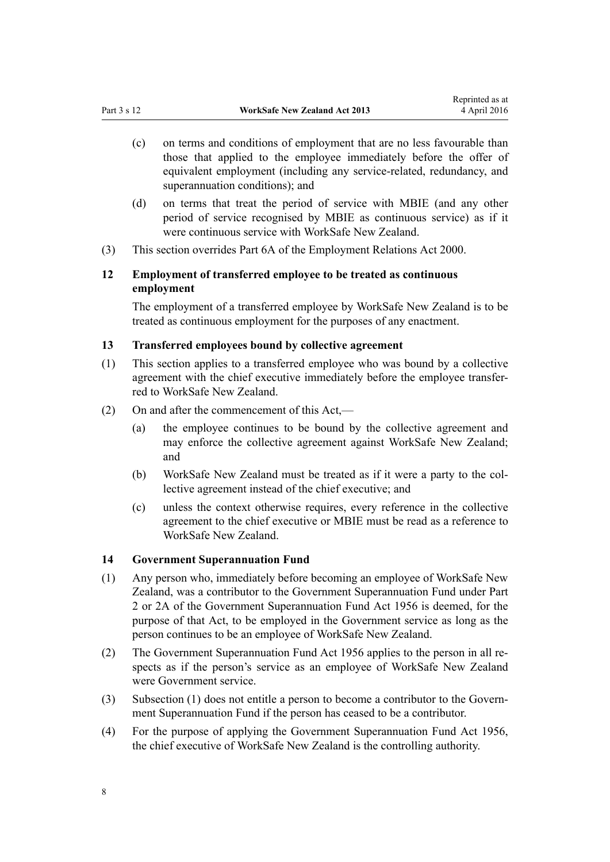- <span id="page-7-0"></span>(c) on terms and conditions of employment that are no less favourable than those that applied to the employee immediately before the offer of equivalent employment (including any service-related, redundancy, and superannuation conditions); and
- (d) on terms that treat the period of service with MBIE (and any other period of service recognised by MBIE as continuous service) as if it were continuous service with WorkSafe New Zealand.
- (3) This section overrides [Part 6A](http://prd-lgnz-nlb.prd.pco.net.nz/pdflink.aspx?id=DLM59172) of the Employment Relations Act 2000.

## **12 Employment of transferred employee to be treated as continuous employment**

The employment of a transferred employee by WorkSafe New Zealand is to be treated as continuous employment for the purposes of any enactment.

#### **13 Transferred employees bound by collective agreement**

- (1) This section applies to a transferred employee who was bound by a collective agreement with the chief executive immediately before the employee transferred to WorkSafe New Zealand.
- (2) On and after the commencement of this Act,—
	- (a) the employee continues to be bound by the collective agreement and may enforce the collective agreement against WorkSafe New Zealand; and
	- (b) WorkSafe New Zealand must be treated as if it were a party to the collective agreement instead of the chief executive; and
	- (c) unless the context otherwise requires, every reference in the collective agreement to the chief executive or MBIE must be read as a reference to WorkSafe New Zealand.

#### **14 Government Superannuation Fund**

- (1) Any person who, immediately before becoming an employee of WorkSafe New Zealand, was a contributor to the Government Superannuation Fund under [Part](http://prd-lgnz-nlb.prd.pco.net.nz/pdflink.aspx?id=DLM446395) [2](http://prd-lgnz-nlb.prd.pco.net.nz/pdflink.aspx?id=DLM446395) or [2A](http://prd-lgnz-nlb.prd.pco.net.nz/pdflink.aspx?id=DLM446842) of the Government Superannuation Fund Act 1956 is deemed, for the purpose of that Act, to be employed in the Government service as long as the person continues to be an employee of WorkSafe New Zealand.
- (2) The [Government Superannuation Fund Act 1956](http://prd-lgnz-nlb.prd.pco.net.nz/pdflink.aspx?id=DLM446000) applies to the person in all respects as if the person's service as an employee of WorkSafe New Zealand were Government service.
- (3) Subsection (1) does not entitle a person to become a contributor to the Government Superannuation Fund if the person has ceased to be a contributor.
- (4) For the purpose of applying the [Government Superannuation Fund Act 1956](http://prd-lgnz-nlb.prd.pco.net.nz/pdflink.aspx?id=DLM446000), the chief executive of WorkSafe New Zealand is the controlling authority.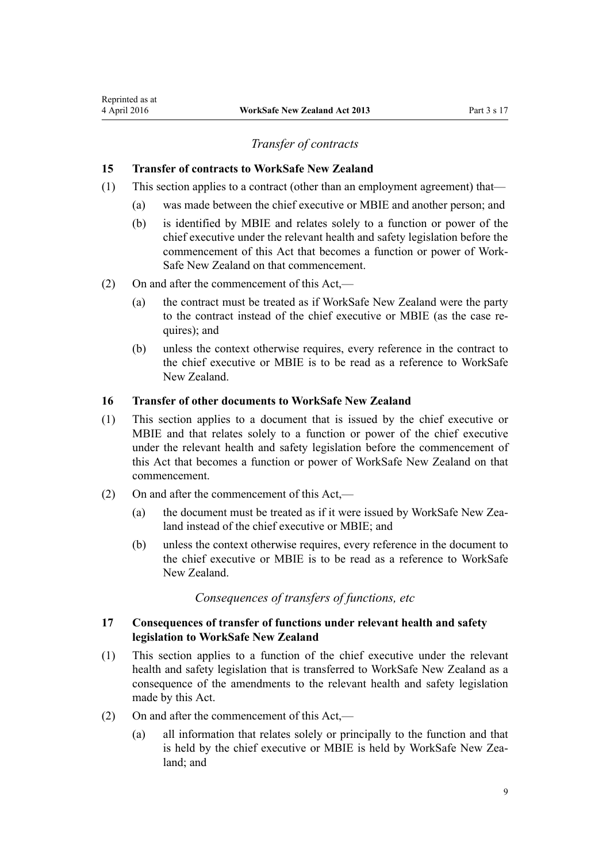## *Transfer of contracts*

#### <span id="page-8-0"></span>**15 Transfer of contracts to WorkSafe New Zealand**

- (1) This section applies to a contract (other than an employment agreement) that—
	- (a) was made between the chief executive or MBIE and another person; and
	- (b) is identified by MBIE and relates solely to a function or power of the chief executive under the relevant health and safety legislation before the commencement of this Act that becomes a function or power of Work-Safe New Zealand on that commencement.
- (2) On and after the commencement of this Act,—
	- (a) the contract must be treated as if WorkSafe New Zealand were the party to the contract instead of the chief executive or MBIE (as the case requires); and
	- (b) unless the context otherwise requires, every reference in the contract to the chief executive or MBIE is to be read as a reference to WorkSafe New Zealand.

#### **16 Transfer of other documents to WorkSafe New Zealand**

- (1) This section applies to a document that is issued by the chief executive or MBIE and that relates solely to a function or power of the chief executive under the relevant health and safety legislation before the commencement of this Act that becomes a function or power of WorkSafe New Zealand on that commencement.
- (2) On and after the commencement of this Act,—
	- (a) the document must be treated as if it were issued by WorkSafe New Zealand instead of the chief executive or MBIE; and
	- (b) unless the context otherwise requires, every reference in the document to the chief executive or MBIE is to be read as a reference to WorkSafe New Zealand.

*Consequences of transfers of functions, etc*

### **17 Consequences of transfer of functions under relevant health and safety legislation to WorkSafe New Zealand**

- (1) This section applies to a function of the chief executive under the relevant health and safety legislation that is transferred to WorkSafe New Zealand as a consequence of the amendments to the relevant health and safety legislation made by this Act.
- (2) On and after the commencement of this Act,—
	- (a) all information that relates solely or principally to the function and that is held by the chief executive or MBIE is held by WorkSafe New Zealand; and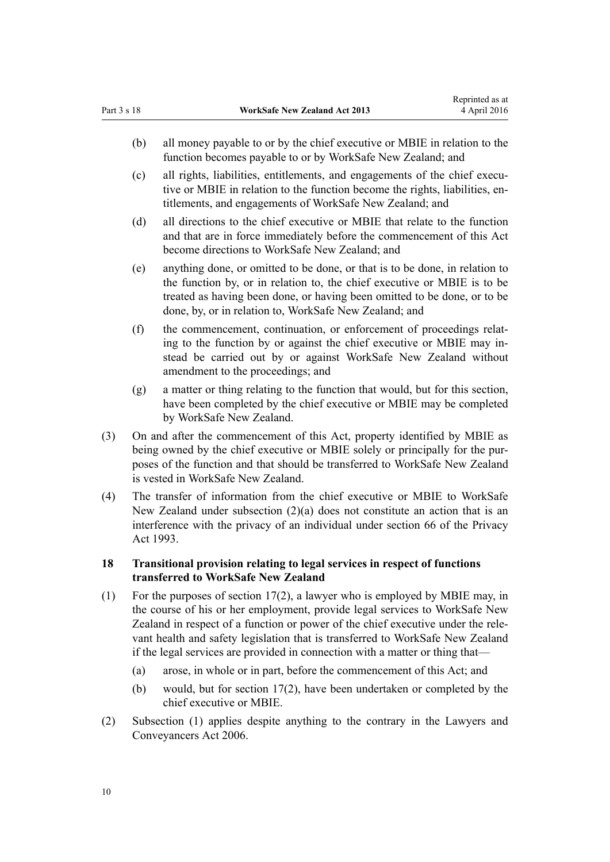- <span id="page-9-0"></span>(b) all money payable to or by the chief executive or MBIE in relation to the function becomes payable to or by WorkSafe New Zealand; and
- (c) all rights, liabilities, entitlements, and engagements of the chief executive or MBIE in relation to the function become the rights, liabilities, entitlements, and engagements of WorkSafe New Zealand; and
- (d) all directions to the chief executive or MBIE that relate to the function and that are in force immediately before the commencement of this Act become directions to WorkSafe New Zealand; and
- (e) anything done, or omitted to be done, or that is to be done, in relation to the function by, or in relation to, the chief executive or MBIE is to be treated as having been done, or having been omitted to be done, or to be done, by, or in relation to, WorkSafe New Zealand; and
- (f) the commencement, continuation, or enforcement of proceedings relating to the function by or against the chief executive or MBIE may instead be carried out by or against WorkSafe New Zealand without amendment to the proceedings; and
- (g) a matter or thing relating to the function that would, but for this section, have been completed by the chief executive or MBIE may be completed by WorkSafe New Zealand.
- (3) On and after the commencement of this Act, property identified by MBIE as being owned by the chief executive or MBIE solely or principally for the purposes of the function and that should be transferred to WorkSafe New Zealand is vested in WorkSafe New Zealand.
- (4) The transfer of information from the chief executive or MBIE to WorkSafe New Zealand under subsection (2)(a) does not constitute an action that is an interference with the privacy of an individual under [section 66](http://prd-lgnz-nlb.prd.pco.net.nz/pdflink.aspx?id=DLM297441) of the Privacy Act 1993.

#### **18 Transitional provision relating to legal services in respect of functions transferred to WorkSafe New Zealand**

- (1) For the purposes of [section 17\(2\)](#page-8-0), a lawyer who is employed by MBIE may, in the course of his or her employment, provide legal services to WorkSafe New Zealand in respect of a function or power of the chief executive under the relevant health and safety legislation that is transferred to WorkSafe New Zealand if the legal services are provided in connection with a matter or thing that—
	- (a) arose, in whole or in part, before the commencement of this Act; and
	- (b) would, but for [section 17\(2\),](#page-8-0) have been undertaken or completed by the chief executive or MBIE.
- (2) Subsection (1) applies despite anything to the contrary in the [Lawyers and](http://prd-lgnz-nlb.prd.pco.net.nz/pdflink.aspx?id=DLM364938) [Conveyancers Act 2006.](http://prd-lgnz-nlb.prd.pco.net.nz/pdflink.aspx?id=DLM364938)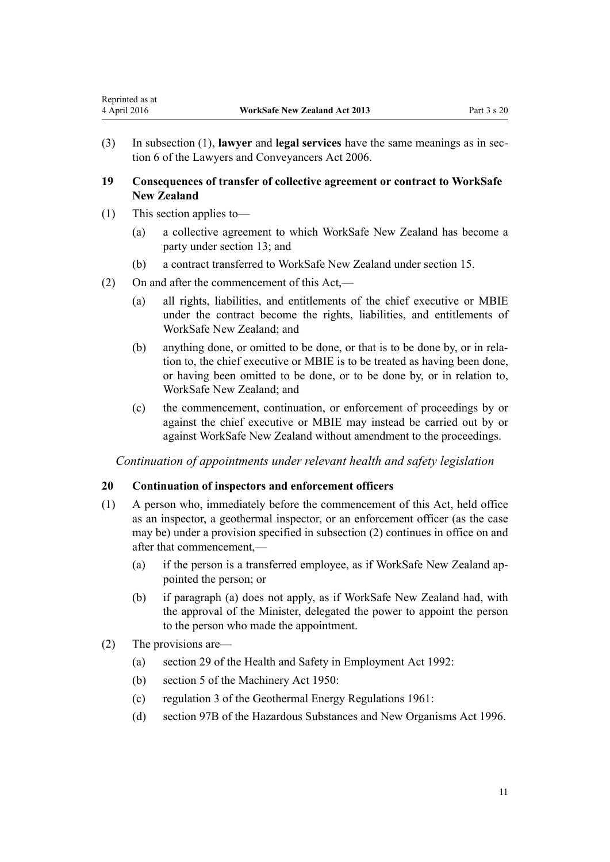<span id="page-10-0"></span>(3) In subsection (1), **lawyer** and **legal services** have the same meanings as in [sec](http://prd-lgnz-nlb.prd.pco.net.nz/pdflink.aspx?id=DLM364948)[tion 6](http://prd-lgnz-nlb.prd.pco.net.nz/pdflink.aspx?id=DLM364948) of the Lawyers and Conveyancers Act 2006.

## **19 Consequences of transfer of collective agreement or contract to WorkSafe New Zealand**

- (1) This section applies to—
	- (a) a collective agreement to which WorkSafe New Zealand has become a party under [section 13;](#page-8-0) and
	- (b) a contract transferred to WorkSafe New Zealand under [section 15.](#page-8-0)
- (2) On and after the commencement of this Act,—
	- (a) all rights, liabilities, and entitlements of the chief executive or MBIE under the contract become the rights, liabilities, and entitlements of WorkSafe New Zealand; and
	- (b) anything done, or omitted to be done, or that is to be done by, or in relation to, the chief executive or MBIE is to be treated as having been done, or having been omitted to be done, or to be done by, or in relation to, WorkSafe New Zealand; and
	- (c) the commencement, continuation, or enforcement of proceedings by or against the chief executive or MBIE may instead be carried out by or against WorkSafe New Zealand without amendment to the proceedings.

*Continuation of appointments under relevant health and safety legislation*

## **20 Continuation of inspectors and enforcement officers**

- (1) A person who, immediately before the commencement of this Act, held office as an inspector, a geothermal inspector, or an enforcement officer (as the case may be) under a provision specified in subsection (2) continues in office on and after that commencement,—
	- (a) if the person is a transferred employee, as if WorkSafe New Zealand appointed the person; or
	- (b) if paragraph (a) does not apply, as if WorkSafe New Zealand had, with the approval of the Minister, delegated the power to appoint the person to the person who made the appointment.
- (2) The provisions are—
	- (a) [section 29](http://prd-lgnz-nlb.prd.pco.net.nz/pdflink.aspx?id=DLM279613) of the Health and Safety in Employment Act 1992:
	- (b) [section 5](http://prd-lgnz-nlb.prd.pco.net.nz/pdflink.aspx?id=DLM261207) of the Machinery Act 1950:
	- (c) [regulation 3](http://prd-lgnz-nlb.prd.pco.net.nz/pdflink.aspx?id=DLM16041) of the Geothermal Energy Regulations 1961:
	- (d) [section 97B](http://prd-lgnz-nlb.prd.pco.net.nz/pdflink.aspx?id=DLM384663) of the Hazardous Substances and New Organisms Act 1996.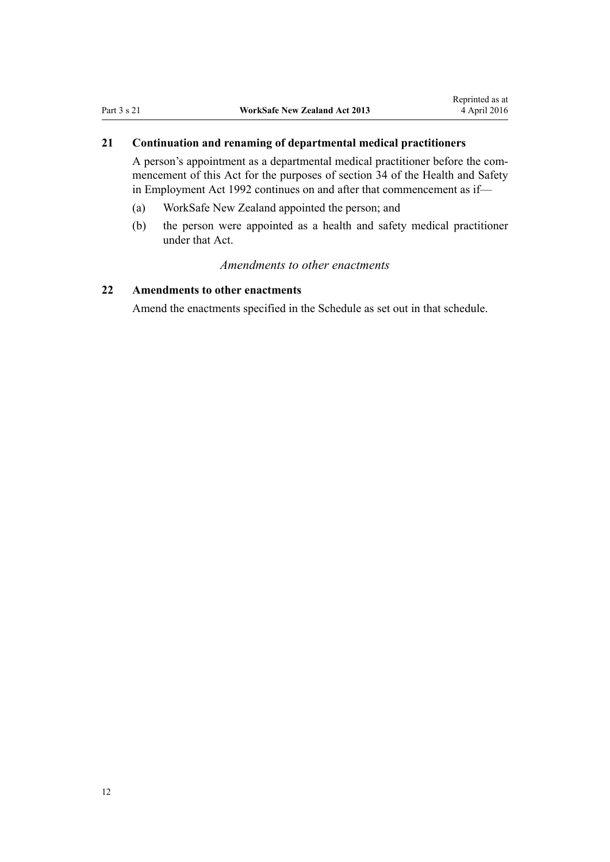## <span id="page-11-0"></span>**21 Continuation and renaming of departmental medical practitioners**

A person's appointment as a departmental medical practitioner before the commencement of this Act for the purposes of section 34 of the Health and Safety in Employment Act 1992 continues on and after that commencement as if—

- (a) WorkSafe New Zealand appointed the person; and
- (b) the person were appointed as a health and safety medical practitioner under that Act.

## *Amendments to other enactments*

## **22 Amendments to other enactments**

Amend the enactments specified in the [Schedule](#page-12-0) as set out in that schedule.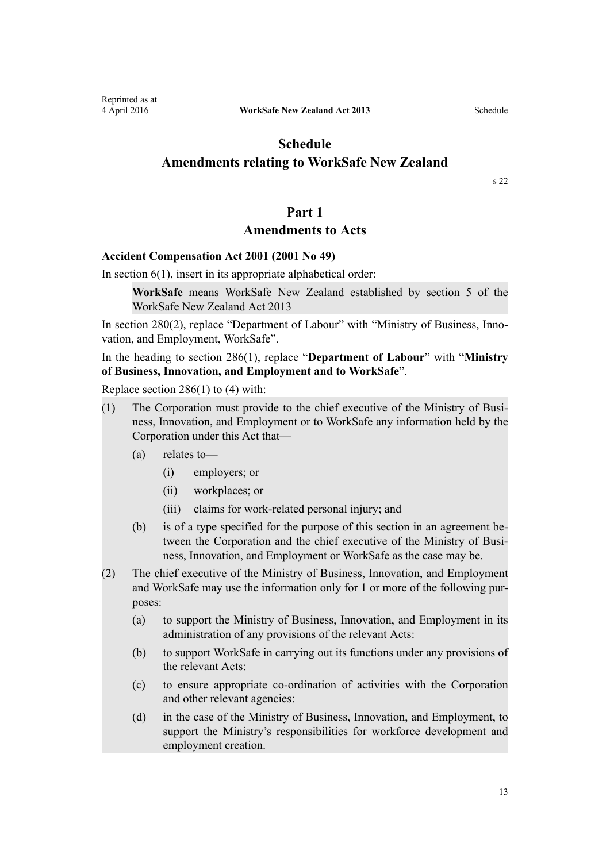[s 22](#page-11-0)

### **Part 1**

## **Amendments to Acts**

### <span id="page-12-0"></span>**[Accident Compensation Act 2001](http://prd-lgnz-nlb.prd.pco.net.nz/pdflink.aspx?id=DLM99493) (2001 No 49)**

In section  $6(1)$ , insert in its appropriate alphabetical order:

**WorkSafe** means WorkSafe New Zealand established by section 5 of the WorkSafe New Zealand Act 2013

In [section 280\(2\),](http://prd-lgnz-nlb.prd.pco.net.nz/pdflink.aspx?id=DLM103199) replace "Department of Labour" with "Ministry of Business, Innovation, and Employment, WorkSafe".

In the heading to [section 286\(1\)](http://prd-lgnz-nlb.prd.pco.net.nz/pdflink.aspx?id=DLM103412), replace "**Department of Labour**" with "**Ministry of Business, Innovation, and Employment and to WorkSafe**".

Replace [section 286\(1\) to \(4\)](http://prd-lgnz-nlb.prd.pco.net.nz/pdflink.aspx?id=DLM103412) with:

- (1) The Corporation must provide to the chief executive of the Ministry of Business, Innovation, and Employment or to WorkSafe any information held by the Corporation under this Act that—
	- (a) relates to—
		- (i) employers; or
		- (ii) workplaces; or
		- (iii) claims for work-related personal injury; and
	- (b) is of a type specified for the purpose of this section in an agreement between the Corporation and the chief executive of the Ministry of Business, Innovation, and Employment or WorkSafe as the case may be.
- (2) The chief executive of the Ministry of Business, Innovation, and Employment and WorkSafe may use the information only for 1 or more of the following purposes:
	- (a) to support the Ministry of Business, Innovation, and Employment in its administration of any provisions of the relevant Acts:
	- (b) to support WorkSafe in carrying out its functions under any provisions of the relevant Acts:
	- (c) to ensure appropriate co-ordination of activities with the Corporation and other relevant agencies:
	- (d) in the case of the Ministry of Business, Innovation, and Employment, to support the Ministry's responsibilities for workforce development and employment creation.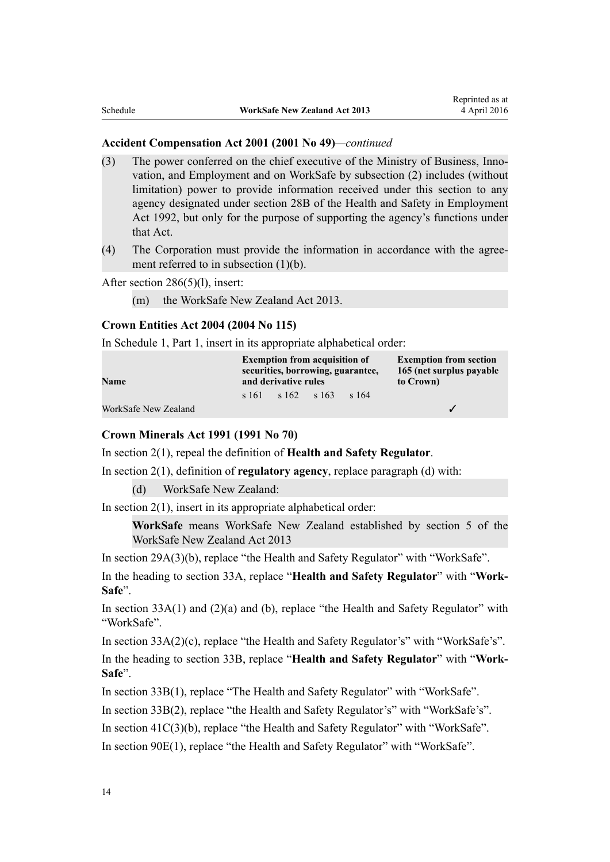#### **Accident Compensation Act 2001 (2001 No 49)***—continued*

- (3) The power conferred on the chief executive of the Ministry of Business, Innovation, and Employment and on WorkSafe by subsection (2) includes (without limitation) power to provide information received under this section to any agency designated under section 28B of the Health and Safety in Employment Act 1992, but only for the purpose of supporting the agency's functions under that Act.
- (4) The Corporation must provide the information in accordance with the agreement referred to in subsection (1)(b).

#### After [section 286\(5\)\(l\)](http://prd-lgnz-nlb.prd.pco.net.nz/pdflink.aspx?id=DLM103412), insert:

(m) the WorkSafe New Zealand Act 2013.

## **[Crown Entities Act 2004](http://prd-lgnz-nlb.prd.pco.net.nz/pdflink.aspx?id=DLM329630) (2004 No 115)**

In [Schedule 1](http://prd-lgnz-nlb.prd.pco.net.nz/pdflink.aspx?id=DLM331113), Part 1, insert in its appropriate alphabetical order:

| Name                 | <b>Exemption from acquisition of</b><br>securities, borrowing, guarantee,<br>and derivative rules |  |                | <b>Exemption from section</b><br>165 (net surplus payable<br>to Crown) |  |
|----------------------|---------------------------------------------------------------------------------------------------|--|----------------|------------------------------------------------------------------------|--|
|                      | s 161                                                                                             |  | $s162 \t s163$ | s 164                                                                  |  |
| WorkSafe New Zealand |                                                                                                   |  |                |                                                                        |  |

#### **[Crown Minerals Act 1991](http://prd-lgnz-nlb.prd.pco.net.nz/pdflink.aspx?id=DLM242535) (1991 No 70)**

In [section 2\(1\)](http://prd-lgnz-nlb.prd.pco.net.nz/pdflink.aspx?id=DLM242543), repeal the definition of **Health and Safety Regulator**.

In [section 2\(1\)](http://prd-lgnz-nlb.prd.pco.net.nz/pdflink.aspx?id=DLM242543), definition of **regulatory agency**, replace paragraph (d) with:

(d) WorkSafe New Zealand:

In section  $2(1)$ , insert in its appropriate alphabetical order:

**WorkSafe** means WorkSafe New Zealand established by section 5 of the WorkSafe New Zealand Act 2013

In [section 29A\(3\)\(b\),](http://prd-lgnz-nlb.prd.pco.net.nz/pdflink.aspx?id=DLM5227553) replace "the Health and Safety Regulator" with "WorkSafe".

In the heading to [section 33A](http://prd-lgnz-nlb.prd.pco.net.nz/pdflink.aspx?id=DLM5228911), replace "**Health and Safety Regulator**" with "**Work-Safe**".

In section  $33A(1)$  and  $(2)(a)$  and (b), replace "the Health and Safety Regulator" with "WorkSafe".

In [section 33A\(2\)\(c\)](http://prd-lgnz-nlb.prd.pco.net.nz/pdflink.aspx?id=DLM5228911), replace "the Health and Safety Regulator's" with "WorkSafe's".

In the heading to [section 33B,](http://prd-lgnz-nlb.prd.pco.net.nz/pdflink.aspx?id=DLM5228912) replace "**Health and Safety Regulator**" with "**Work-Safe**".

In [section 33B\(1\),](http://prd-lgnz-nlb.prd.pco.net.nz/pdflink.aspx?id=DLM5228912) replace "The Health and Safety Regulator" with "WorkSafe".

In [section 33B\(2\),](http://prd-lgnz-nlb.prd.pco.net.nz/pdflink.aspx?id=DLM5228912) replace "the Health and Safety Regulator's" with "WorkSafe's".

In [section 41C\(3\)\(b\)](http://prd-lgnz-nlb.prd.pco.net.nz/pdflink.aspx?id=DLM5230468), replace "the Health and Safety Regulator" with "WorkSafe".

In [section 90E\(1\)](http://prd-lgnz-nlb.prd.pco.net.nz/pdflink.aspx?id=DLM5231040), replace "the Health and Safety Regulator" with "WorkSafe".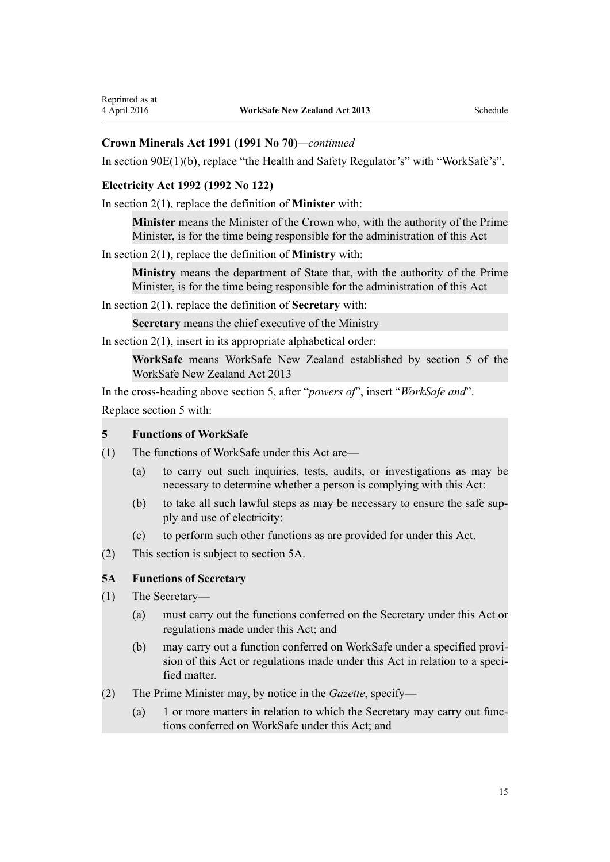## **Crown Minerals Act 1991 (1991 No 70)***—continued*

In [section 90E\(1\)\(b\)](http://prd-lgnz-nlb.prd.pco.net.nz/pdflink.aspx?id=DLM5231040), replace "the Health and Safety Regulator's" with "WorkSafe's".

## **[Electricity Act 1992](http://prd-lgnz-nlb.prd.pco.net.nz/pdflink.aspx?id=DLM281857) (1992 No 122)**

In [section 2\(1\)](http://prd-lgnz-nlb.prd.pco.net.nz/pdflink.aspx?id=DLM281866), replace the definition of **Minister** with:

**Minister** means the Minister of the Crown who, with the authority of the Prime Minister, is for the time being responsible for the administration of this Act

In [section 2\(1\)](http://prd-lgnz-nlb.prd.pco.net.nz/pdflink.aspx?id=DLM281866), replace the definition of **Ministry** with:

**Ministry** means the department of State that, with the authority of the Prime Minister, is for the time being responsible for the administration of this Act

In [section 2\(1\)](http://prd-lgnz-nlb.prd.pco.net.nz/pdflink.aspx?id=DLM281866), replace the definition of **Secretary** with:

**Secretary** means the chief executive of the Ministry

In section  $2(1)$ , insert in its appropriate alphabetical order:

**WorkSafe** means WorkSafe New Zealand established by section 5 of the WorkSafe New Zealand Act 2013

In the cross-heading above [section 5,](http://prd-lgnz-nlb.prd.pco.net.nz/pdflink.aspx?id=DLM282422) after "*powers of*", insert "*WorkSafe and*". Replace [section 5](http://prd-lgnz-nlb.prd.pco.net.nz/pdflink.aspx?id=DLM282422) with:

#### **5 Functions of WorkSafe**

- (1) The functions of WorkSafe under this Act are—
	- (a) to carry out such inquiries, tests, audits, or investigations as may be necessary to determine whether a person is complying with this Act:
	- (b) to take all such lawful steps as may be necessary to ensure the safe supply and use of electricity:
	- (c) to perform such other functions as are provided for under this Act.
- (2) This section is subject to section 5A.

## **5A Functions of Secretary**

- (1) The Secretary—
	- (a) must carry out the functions conferred on the Secretary under this Act or regulations made under this Act; and
	- (b) may carry out a function conferred on WorkSafe under a specified provision of this Act or regulations made under this Act in relation to a specified matter.
- (2) The Prime Minister may, by notice in the *Gazette*, specify—
	- (a) 1 or more matters in relation to which the Secretary may carry out functions conferred on WorkSafe under this Act; and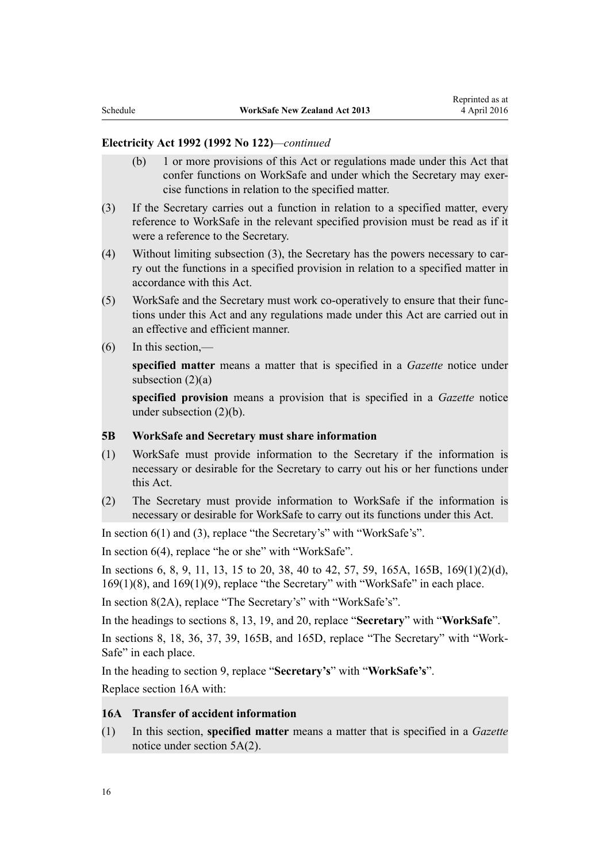#### **Electricity Act 1992 (1992 No 122)***—continued*

- (b) 1 or more provisions of this Act or regulations made under this Act that confer functions on WorkSafe and under which the Secretary may exercise functions in relation to the specified matter.
- (3) If the Secretary carries out a function in relation to a specified matter, every reference to WorkSafe in the relevant specified provision must be read as if it were a reference to the Secretary.
- (4) Without limiting subsection (3), the Secretary has the powers necessary to carry out the functions in a specified provision in relation to a specified matter in accordance with this Act.
- (5) WorkSafe and the Secretary must work co-operatively to ensure that their functions under this Act and any regulations made under this Act are carried out in an effective and efficient manner.
- (6) In this section,—

**specified matter** means a matter that is specified in a *Gazette* notice under subsection  $(2)(a)$ 

**specified provision** means a provision that is specified in a *Gazette* notice under subsection (2)(b).

#### **5B WorkSafe and Secretary must share information**

- (1) WorkSafe must provide information to the Secretary if the information is necessary or desirable for the Secretary to carry out his or her functions under this Act.
- (2) The Secretary must provide information to WorkSafe if the information is necessary or desirable for WorkSafe to carry out its functions under this Act.

In [section 6\(1\) and \(3\)](http://prd-lgnz-nlb.prd.pco.net.nz/pdflink.aspx?id=DLM282424), replace "the Secretary's" with "WorkSafe's".

In [section 6\(4\)](http://prd-lgnz-nlb.prd.pco.net.nz/pdflink.aspx?id=DLM282424), replace "he or she" with "WorkSafe".

In [sections 6](http://prd-lgnz-nlb.prd.pco.net.nz/pdflink.aspx?id=DLM282424), [8](http://prd-lgnz-nlb.prd.pco.net.nz/pdflink.aspx?id=DLM282426), [9,](http://prd-lgnz-nlb.prd.pco.net.nz/pdflink.aspx?id=DLM282427) [11](http://prd-lgnz-nlb.prd.pco.net.nz/pdflink.aspx?id=DLM282429), [13](http://prd-lgnz-nlb.prd.pco.net.nz/pdflink.aspx?id=DLM282431), [15 to 20](http://prd-lgnz-nlb.prd.pco.net.nz/pdflink.aspx?id=DLM282437), [38](http://prd-lgnz-nlb.prd.pco.net.nz/pdflink.aspx?id=DLM282495), [40 to 42](http://prd-lgnz-nlb.prd.pco.net.nz/pdflink.aspx?id=DLM282497), [57](http://prd-lgnz-nlb.prd.pco.net.nz/pdflink.aspx?id=DLM282827), [59](http://prd-lgnz-nlb.prd.pco.net.nz/pdflink.aspx?id=DLM282829), [165A,](http://prd-lgnz-nlb.prd.pco.net.nz/pdflink.aspx?id=DLM2864909) [165B](http://prd-lgnz-nlb.prd.pco.net.nz/pdflink.aspx?id=DLM2864910), [169\(1\)\(2\)\(d\)](http://prd-lgnz-nlb.prd.pco.net.nz/pdflink.aspx?id=DLM283361), 169(1)(8), and 169(1)(9), replace "the Secretary" with "WorkSafe" in each place.

In [section 8\(2A\),](http://prd-lgnz-nlb.prd.pco.net.nz/pdflink.aspx?id=DLM282426) replace "The Secretary's" with "WorkSafe's".

In the headings to [sections 8,](http://prd-lgnz-nlb.prd.pco.net.nz/pdflink.aspx?id=DLM282426) [13](http://prd-lgnz-nlb.prd.pco.net.nz/pdflink.aspx?id=DLM282431), [19](http://prd-lgnz-nlb.prd.pco.net.nz/pdflink.aspx?id=DLM282448), and [20](http://prd-lgnz-nlb.prd.pco.net.nz/pdflink.aspx?id=DLM282449), replace "**Secretary**" with "**WorkSafe**".

In [sections 8](http://prd-lgnz-nlb.prd.pco.net.nz/pdflink.aspx?id=DLM282426), [18](http://prd-lgnz-nlb.prd.pco.net.nz/pdflink.aspx?id=DLM282447), [36](http://prd-lgnz-nlb.prd.pco.net.nz/pdflink.aspx?id=DLM282493), [37](http://prd-lgnz-nlb.prd.pco.net.nz/pdflink.aspx?id=DLM282494), [39](http://prd-lgnz-nlb.prd.pco.net.nz/pdflink.aspx?id=DLM282496), [165B,](http://prd-lgnz-nlb.prd.pco.net.nz/pdflink.aspx?id=DLM2864910) and [165D](http://prd-lgnz-nlb.prd.pco.net.nz/pdflink.aspx?id=DLM2864913), replace "The Secretary" with "Work-Safe" in each place.

In the heading to [section 9,](http://prd-lgnz-nlb.prd.pco.net.nz/pdflink.aspx?id=DLM282427) replace "**Secretary's**" with "**WorkSafe's**".

Replace [section 16A](http://prd-lgnz-nlb.prd.pco.net.nz/pdflink.aspx?id=DLM282444) with:

## **16A Transfer of accident information**

(1) In this section, **specified matter** means a matter that is specified in a *Gazette* notice under section 5A(2).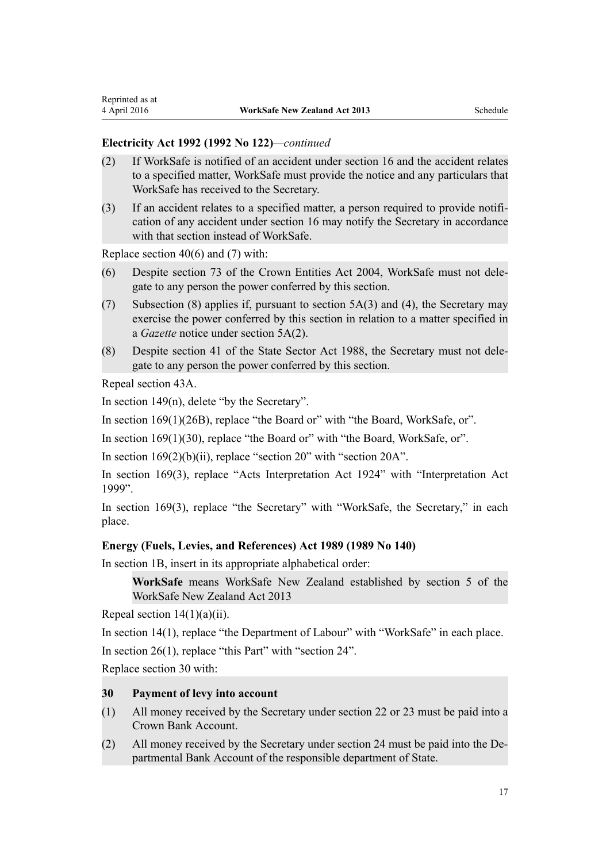#### **Electricity Act 1992 (1992 No 122)***—continued*

- (2) If WorkSafe is notified of an accident under section 16 and the accident relates to a specified matter, WorkSafe must provide the notice and any particulars that WorkSafe has received to the Secretary.
- (3) If an accident relates to a specified matter, a person required to provide notification of any accident under section 16 may notify the Secretary in accordance with that section instead of WorkSafe.

Replace [section 40\(6\) and \(7\)](http://prd-lgnz-nlb.prd.pco.net.nz/pdflink.aspx?id=DLM282497) with:

- (6) Despite section 73 of the Crown Entities Act 2004, WorkSafe must not delegate to any person the power conferred by this section.
- (7) Subsection (8) applies if, pursuant to section 5A(3) and (4), the Secretary may exercise the power conferred by this section in relation to a matter specified in a *Gazette* notice under section 5A(2).
- (8) Despite section 41 of the State Sector Act 1988, the Secretary must not delegate to any person the power conferred by this section.

Repeal [section 43A](http://prd-lgnz-nlb.prd.pco.net.nz/pdflink.aspx?id=DLM3370618).

In [section 149\(n\),](http://prd-lgnz-nlb.prd.pco.net.nz/pdflink.aspx?id=DLM283199) delete "by the Secretary".

In [section 169\(1\)\(26B\),](http://prd-lgnz-nlb.prd.pco.net.nz/pdflink.aspx?id=DLM283361) replace "the Board or" with "the Board, WorkSafe, or".

In [section 169\(1\)\(30\),](http://prd-lgnz-nlb.prd.pco.net.nz/pdflink.aspx?id=DLM283361) replace "the Board or" with "the Board, WorkSafe, or".

In section  $169(2)(b)(ii)$ , replace "section 20" with "section 20A".

In [section 169\(3\),](http://prd-lgnz-nlb.prd.pco.net.nz/pdflink.aspx?id=DLM283361) replace "Acts Interpretation Act 1924" with "Interpretation Act 1999".

In [section 169\(3\)](http://prd-lgnz-nlb.prd.pco.net.nz/pdflink.aspx?id=DLM283361), replace "the Secretary" with "WorkSafe, the Secretary," in each place.

#### **[Energy \(Fuels, Levies, and References\) Act 1989](http://prd-lgnz-nlb.prd.pco.net.nz/pdflink.aspx?id=DLM194753) (1989 No 140)**

In [section 1B,](http://prd-lgnz-nlb.prd.pco.net.nz/pdflink.aspx?id=DLM1660100) insert in its appropriate alphabetical order:

**WorkSafe** means WorkSafe New Zealand established by section 5 of the WorkSafe New Zealand Act 2013

Repeal [section 14\(1\)\(a\)\(ii\)](http://prd-lgnz-nlb.prd.pco.net.nz/pdflink.aspx?id=DLM194794).

In [section 14\(1\)](http://prd-lgnz-nlb.prd.pco.net.nz/pdflink.aspx?id=DLM194794), replace "the Department of Labour" with "WorkSafe" in each place.

In [section 26\(1\)](http://prd-lgnz-nlb.prd.pco.net.nz/pdflink.aspx?id=DLM195040), replace "this Part" with "section 24".

Replace [section 30](http://prd-lgnz-nlb.prd.pco.net.nz/pdflink.aspx?id=DLM195045) with:

### **30 Payment of levy into account**

- (1) All money received by the Secretary under section 22 or 23 must be paid into a Crown Bank Account.
- (2) All money received by the Secretary under section 24 must be paid into the Departmental Bank Account of the responsible department of State.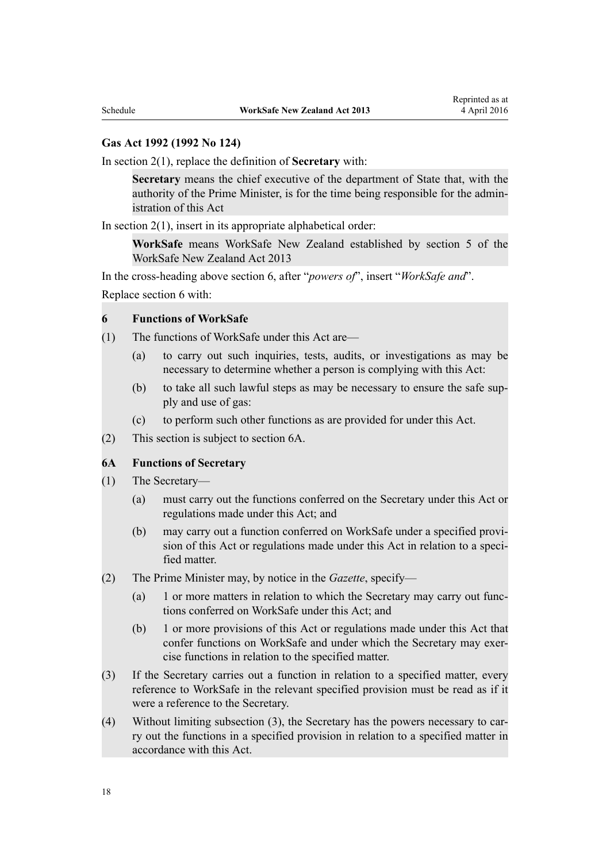#### **[Gas Act 1992](http://prd-lgnz-nlb.prd.pco.net.nz/pdflink.aspx?id=DLM285411) (1992 No 124)**

In [section 2\(1\)](http://prd-lgnz-nlb.prd.pco.net.nz/pdflink.aspx?id=DLM285420), replace the definition of **Secretary** with:

**Secretary** means the chief executive of the department of State that, with the authority of the Prime Minister, is for the time being responsible for the administration of this Act

In section  $2(1)$ , insert in its appropriate alphabetical order:

**WorkSafe** means WorkSafe New Zealand established by section 5 of the WorkSafe New Zealand Act 2013

In the cross-heading above [section 6,](http://prd-lgnz-nlb.prd.pco.net.nz/pdflink.aspx?id=DLM285748) after "*powers of*", insert "*WorkSafe and*". Replace [section 6](http://prd-lgnz-nlb.prd.pco.net.nz/pdflink.aspx?id=DLM285748) with:

#### **6 Functions of WorkSafe**

- (1) The functions of WorkSafe under this Act are—
	- (a) to carry out such inquiries, tests, audits, or investigations as may be necessary to determine whether a person is complying with this Act:
	- (b) to take all such lawful steps as may be necessary to ensure the safe supply and use of gas:
	- (c) to perform such other functions as are provided for under this Act.
- (2) This section is subject to section 6A.

#### **6A Functions of Secretary**

- (1) The Secretary—
	- (a) must carry out the functions conferred on the Secretary under this Act or regulations made under this Act; and
	- (b) may carry out a function conferred on WorkSafe under a specified provision of this Act or regulations made under this Act in relation to a specified matter.
- (2) The Prime Minister may, by notice in the *Gazette*, specify—
	- (a) 1 or more matters in relation to which the Secretary may carry out functions conferred on WorkSafe under this Act; and
	- (b) 1 or more provisions of this Act or regulations made under this Act that confer functions on WorkSafe and under which the Secretary may exercise functions in relation to the specified matter.
- (3) If the Secretary carries out a function in relation to a specified matter, every reference to WorkSafe in the relevant specified provision must be read as if it were a reference to the Secretary.
- (4) Without limiting subsection (3), the Secretary has the powers necessary to carry out the functions in a specified provision in relation to a specified matter in accordance with this Act.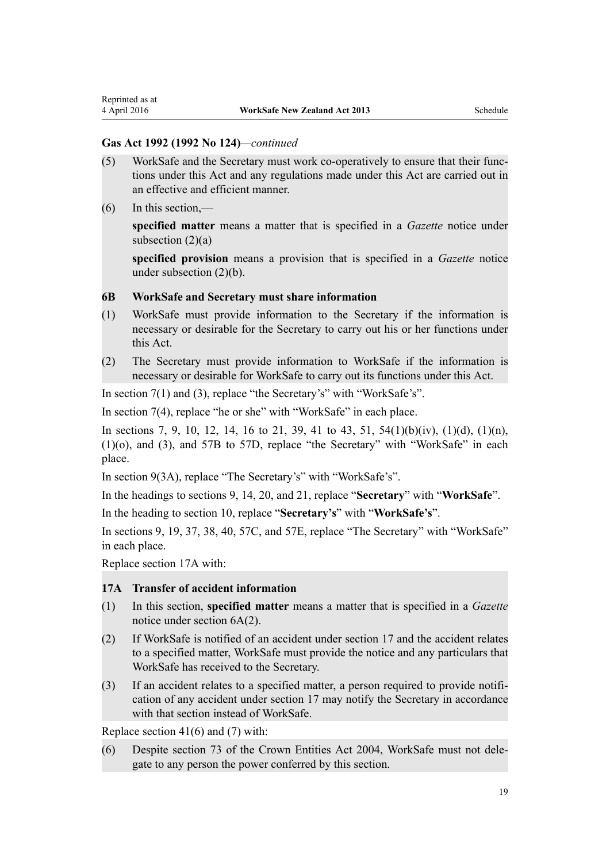### **Gas Act 1992 (1992 No 124)***—continued*

- (5) WorkSafe and the Secretary must work co-operatively to ensure that their functions under this Act and any regulations made under this Act are carried out in an effective and efficient manner.
- $(6)$  In this section,—

**specified matter** means a matter that is specified in a *Gazette* notice under subsection  $(2)(a)$ 

**specified provision** means a provision that is specified in a *Gazette* notice under subsection (2)(b).

#### **6B WorkSafe and Secretary must share information**

- (1) WorkSafe must provide information to the Secretary if the information is necessary or desirable for the Secretary to carry out his or her functions under this Act.
- (2) The Secretary must provide information to WorkSafe if the information is necessary or desirable for WorkSafe to carry out its functions under this Act.

In [section 7\(1\) and \(3\)](http://prd-lgnz-nlb.prd.pco.net.nz/pdflink.aspx?id=DLM285749), replace "the Secretary's" with "WorkSafe's".

In [section 7\(4\)](http://prd-lgnz-nlb.prd.pco.net.nz/pdflink.aspx?id=DLM285749), replace "he or she" with "WorkSafe" in each place.

In [sections 7](http://prd-lgnz-nlb.prd.pco.net.nz/pdflink.aspx?id=DLM285749), [9](http://prd-lgnz-nlb.prd.pco.net.nz/pdflink.aspx?id=DLM285751), [10](http://prd-lgnz-nlb.prd.pco.net.nz/pdflink.aspx?id=DLM285752), [12,](http://prd-lgnz-nlb.prd.pco.net.nz/pdflink.aspx?id=DLM285754) [14,](http://prd-lgnz-nlb.prd.pco.net.nz/pdflink.aspx?id=DLM285756) [16 to 21](http://prd-lgnz-nlb.prd.pco.net.nz/pdflink.aspx?id=DLM285762), [39](http://prd-lgnz-nlb.prd.pco.net.nz/pdflink.aspx?id=DLM285797), [41 to 43](http://prd-lgnz-nlb.prd.pco.net.nz/pdflink.aspx?id=DLM285799), [51,](http://prd-lgnz-nlb.prd.pco.net.nz/pdflink.aspx?id=DLM286524) [54\(1\)\(b\)\(iv\), \(1\)\(d\), \(1\)\(n\),](http://prd-lgnz-nlb.prd.pco.net.nz/pdflink.aspx?id=DLM286529) [\(1\)\(o\), and \(3\)](http://prd-lgnz-nlb.prd.pco.net.nz/pdflink.aspx?id=DLM286529), and [57B to 57D,](http://prd-lgnz-nlb.prd.pco.net.nz/pdflink.aspx?id=DLM2942856) replace "the Secretary" with "WorkSafe" in each place.

In [section 9\(3A\),](http://prd-lgnz-nlb.prd.pco.net.nz/pdflink.aspx?id=DLM285751) replace "The Secretary's" with "WorkSafe's".

In the headings to [sections 9,](http://prd-lgnz-nlb.prd.pco.net.nz/pdflink.aspx?id=DLM285751) [14](http://prd-lgnz-nlb.prd.pco.net.nz/pdflink.aspx?id=DLM285756), [20](http://prd-lgnz-nlb.prd.pco.net.nz/pdflink.aspx?id=DLM285772), and [21](http://prd-lgnz-nlb.prd.pco.net.nz/pdflink.aspx?id=DLM285773), replace "**Secretary**" with "**WorkSafe**".

In the heading to [section 10,](http://prd-lgnz-nlb.prd.pco.net.nz/pdflink.aspx?id=DLM285752) replace "**Secretary's**" with "**WorkSafe's**".

In [sections 9,](http://prd-lgnz-nlb.prd.pco.net.nz/pdflink.aspx?id=DLM285751) [19](http://prd-lgnz-nlb.prd.pco.net.nz/pdflink.aspx?id=DLM285771), [37,](http://prd-lgnz-nlb.prd.pco.net.nz/pdflink.aspx?id=DLM285794) [38](http://prd-lgnz-nlb.prd.pco.net.nz/pdflink.aspx?id=DLM285796), [40,](http://prd-lgnz-nlb.prd.pco.net.nz/pdflink.aspx?id=DLM285798) [57C,](http://prd-lgnz-nlb.prd.pco.net.nz/pdflink.aspx?id=DLM2942857) and [57E,](http://prd-lgnz-nlb.prd.pco.net.nz/pdflink.aspx?id=DLM2942860) replace "The Secretary" with "WorkSafe" in each place.

Replace [section 17A](http://prd-lgnz-nlb.prd.pco.net.nz/pdflink.aspx?id=DLM285768) with:

## **17A Transfer of accident information**

- (1) In this section, **specified matter** means a matter that is specified in a *Gazette* notice under section 6A(2).
- (2) If WorkSafe is notified of an accident under section 17 and the accident relates to a specified matter, WorkSafe must provide the notice and any particulars that WorkSafe has received to the Secretary.
- (3) If an accident relates to a specified matter, a person required to provide notification of any accident under section 17 may notify the Secretary in accordance with that section instead of WorkSafe.

Replace [section 41\(6\) and \(7\)](http://prd-lgnz-nlb.prd.pco.net.nz/pdflink.aspx?id=DLM285799) with:

(6) Despite section 73 of the Crown Entities Act 2004, WorkSafe must not delegate to any person the power conferred by this section.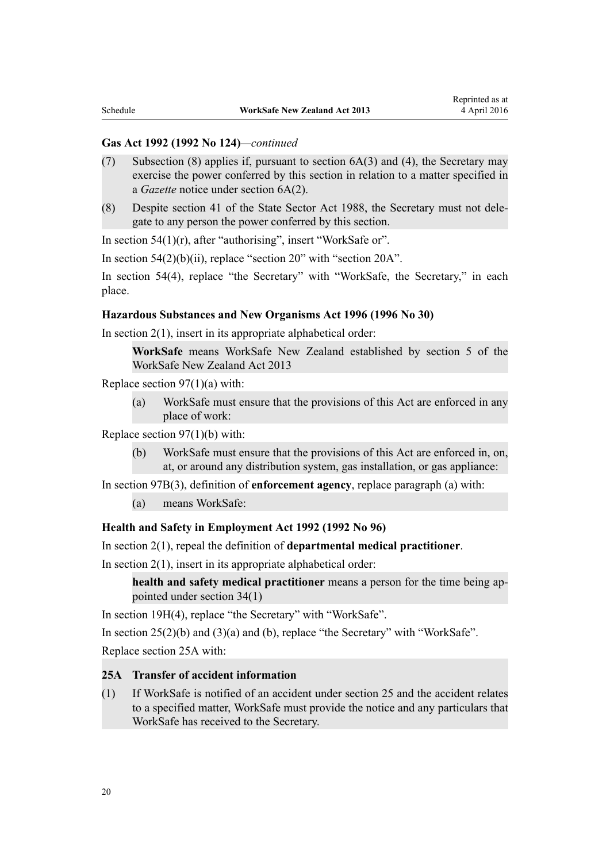#### **Gas Act 1992 (1992 No 124)***—continued*

- (7) Subsection (8) applies if, pursuant to section 6A(3) and (4), the Secretary may exercise the power conferred by this section in relation to a matter specified in a *Gazette* notice under section 6A(2).
- (8) Despite section 41 of the State Sector Act 1988, the Secretary must not delegate to any person the power conferred by this section.

In [section 54\(1\)\(r\),](http://prd-lgnz-nlb.prd.pco.net.nz/pdflink.aspx?id=DLM286529) after "authorising", insert "WorkSafe or".

In section  $54(2)(b)(ii)$ , replace "section  $20$ " with "section  $20A$ ".

In [section 54\(4\),](http://prd-lgnz-nlb.prd.pco.net.nz/pdflink.aspx?id=DLM286529) replace "the Secretary" with "WorkSafe, the Secretary," in each place.

#### **[Hazardous Substances and New Organisms Act 1996](http://prd-lgnz-nlb.prd.pco.net.nz/pdflink.aspx?id=DLM381221) (1996 No 30)**

In section  $2(1)$ , insert in its appropriate alphabetical order:

**WorkSafe** means WorkSafe New Zealand established by section 5 of the WorkSafe New Zealand Act 2013

Replace section  $97(1)(a)$  with:

(a) WorkSafe must ensure that the provisions of this Act are enforced in any place of work:

Replace [section 97\(1\)\(b\)](http://prd-lgnz-nlb.prd.pco.net.nz/pdflink.aspx?id=DLM384649) with:

(b) WorkSafe must ensure that the provisions of this Act are enforced in, on, at, or around any distribution system, gas installation, or gas appliance:

In [section 97B\(3\),](http://prd-lgnz-nlb.prd.pco.net.nz/pdflink.aspx?id=DLM384663) definition of **enforcement agency**, replace paragraph (a) with:

(a) means WorkSafe:

#### **[Health and Safety in Employment Act 1992](http://prd-lgnz-nlb.prd.pco.net.nz/pdflink.aspx?id=DLM278828) (1992 No 96)**

In [section 2\(1\)](http://prd-lgnz-nlb.prd.pco.net.nz/pdflink.aspx?id=DLM278835), repeal the definition of **departmental medical practitioner**.

In section  $2(1)$ , insert in its appropriate alphabetical order:

**health and safety medical practitioner** means a person for the time being appointed under section 34(1)

In [section 19H\(4\)](http://prd-lgnz-nlb.prd.pco.net.nz/pdflink.aspx?id=DLM279263), replace "the Secretary" with "WorkSafe".

In section  $25(2)(b)$  and  $(3)(a)$  and  $(b)$ , replace "the Secretary" with "WorkSafe".

Replace [section 25A](http://prd-lgnz-nlb.prd.pco.net.nz/pdflink.aspx?id=DLM279293) with:

#### **25A Transfer of accident information**

(1) If WorkSafe is notified of an accident under section 25 and the accident relates to a specified matter, WorkSafe must provide the notice and any particulars that WorkSafe has received to the Secretary.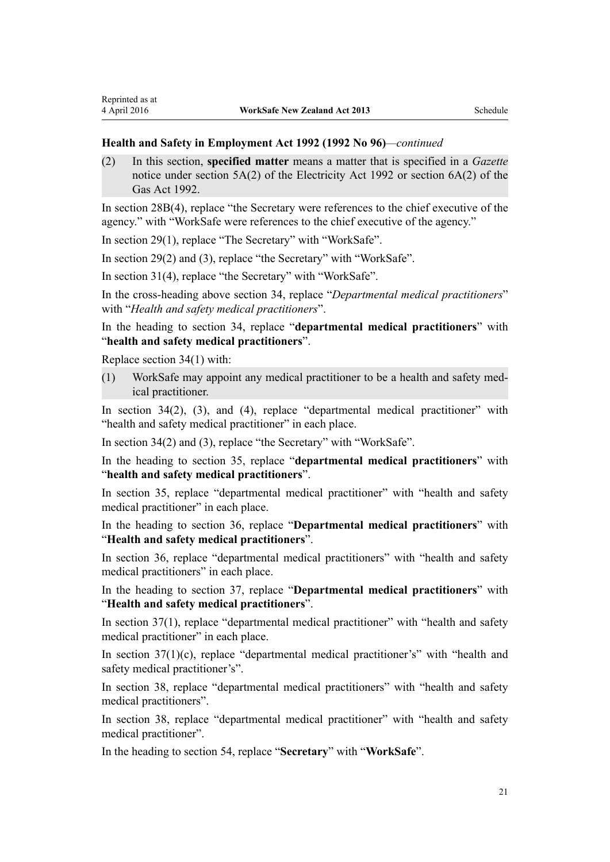#### **Health and Safety in Employment Act 1992 (1992 No 96)***—continued*

(2) In this section, **specified matter** means a matter that is specified in a *Gazette* notice under section 5A(2) of the Electricity Act 1992 or section 6A(2) of the Gas Act 1992.

In [section 28B\(4\)](http://prd-lgnz-nlb.prd.pco.net.nz/pdflink.aspx?id=DLM279606), replace "the Secretary were references to the chief executive of the agency." with "WorkSafe were references to the chief executive of the agency."

In [section 29\(1\)](http://prd-lgnz-nlb.prd.pco.net.nz/pdflink.aspx?id=DLM279613), replace "The Secretary" with "WorkSafe".

In [section 29\(2\) and \(3\),](http://prd-lgnz-nlb.prd.pco.net.nz/pdflink.aspx?id=DLM279613) replace "the Secretary" with "WorkSafe".

In [section 31\(4\)](http://prd-lgnz-nlb.prd.pco.net.nz/pdflink.aspx?id=DLM279616), replace "the Secretary" with "WorkSafe".

In the cross-heading above [section 34,](http://prd-lgnz-nlb.prd.pco.net.nz/pdflink.aspx?id=DLM279624) replace "*Departmental medical practitioners*" with "*Health and safety medical practitioners*".

In the heading to [section 34,](http://prd-lgnz-nlb.prd.pco.net.nz/pdflink.aspx?id=DLM279624) replace "**departmental medical practitioners**" with "**health and safety medical practitioners**".

Replace [section 34\(1\)](http://prd-lgnz-nlb.prd.pco.net.nz/pdflink.aspx?id=DLM279624) with:

Reprinted as at

(1) WorkSafe may appoint any medical practitioner to be a health and safety medical practitioner.

In section  $34(2)$ ,  $(3)$ , and  $(4)$ , replace "departmental medical practitioner" with "health and safety medical practitioner" in each place.

In [section 34\(2\) and \(3\),](http://prd-lgnz-nlb.prd.pco.net.nz/pdflink.aspx?id=DLM279624) replace "the Secretary" with "WorkSafe".

In the heading to [section 35,](http://prd-lgnz-nlb.prd.pco.net.nz/pdflink.aspx?id=DLM279627) replace "**departmental medical practitioners**" with "**health and safety medical practitioners**".

In [section 35,](http://prd-lgnz-nlb.prd.pco.net.nz/pdflink.aspx?id=DLM279627) replace "departmental medical practitioner" with "health and safety medical practitioner" in each place.

In the heading to [section 36,](http://prd-lgnz-nlb.prd.pco.net.nz/pdflink.aspx?id=DLM279628) replace "**Departmental medical practitioners**" with "**Health and safety medical practitioners**".

In [section 36,](http://prd-lgnz-nlb.prd.pco.net.nz/pdflink.aspx?id=DLM279628) replace "departmental medical practitioners" with "health and safety medical practitioners" in each place.

In the heading to [section 37,](http://prd-lgnz-nlb.prd.pco.net.nz/pdflink.aspx?id=DLM279630) replace "**Departmental medical practitioners**" with "**Health and safety medical practitioners**".

In [section 37\(1\),](http://prd-lgnz-nlb.prd.pco.net.nz/pdflink.aspx?id=DLM279630) replace "departmental medical practitioner" with "health and safety medical practitioner" in each place.

In [section 37\(1\)\(c\),](http://prd-lgnz-nlb.prd.pco.net.nz/pdflink.aspx?id=DLM279630) replace "departmental medical practitioner's" with "health and safety medical practitioner's".

In [section 38,](http://prd-lgnz-nlb.prd.pco.net.nz/pdflink.aspx?id=DLM279631) replace "departmental medical practitioners" with "health and safety medical practitioners".

In [section 38,](http://prd-lgnz-nlb.prd.pco.net.nz/pdflink.aspx?id=DLM279631) replace "departmental medical practitioner" with "health and safety medical practitioner".

In the heading to [section 54,](http://prd-lgnz-nlb.prd.pco.net.nz/pdflink.aspx?id=DLM279669) replace "**Secretary**" with "**WorkSafe**".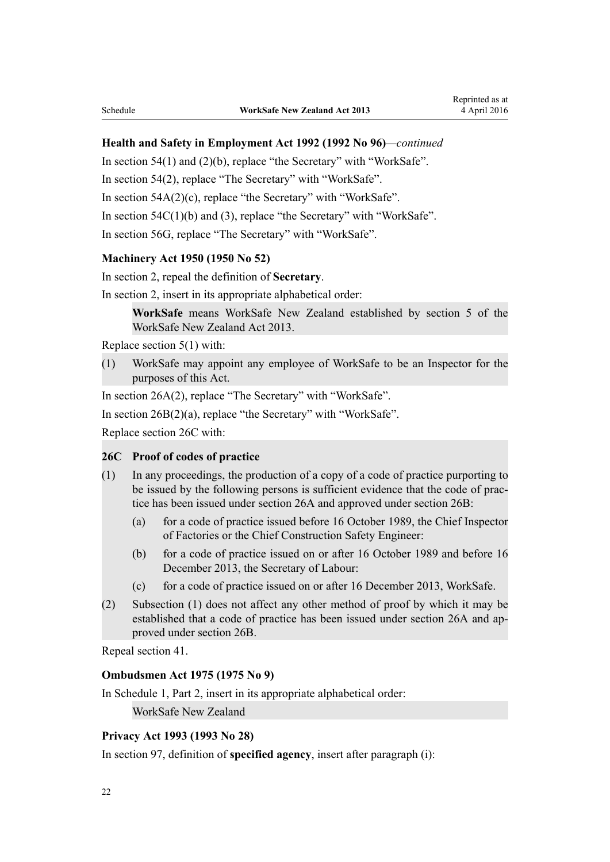#### **Health and Safety in Employment Act 1992 (1992 No 96)***—continued*

In [section 54\(1\) and \(2\)\(b\)](http://prd-lgnz-nlb.prd.pco.net.nz/pdflink.aspx?id=DLM279669), replace "the Secretary" with "WorkSafe".

In [section 54\(2\)](http://prd-lgnz-nlb.prd.pco.net.nz/pdflink.aspx?id=DLM279669), replace "The Secretary" with "WorkSafe".

In [section 54A\(2\)\(c\)](http://prd-lgnz-nlb.prd.pco.net.nz/pdflink.aspx?id=DLM279675), replace "the Secretary" with "WorkSafe".

In [section 54C\(1\)\(b\) and \(3\),](http://prd-lgnz-nlb.prd.pco.net.nz/pdflink.aspx?id=DLM279679) replace "the Secretary" with "WorkSafe".

In [section 56G,](http://prd-lgnz-nlb.prd.pco.net.nz/pdflink.aspx?id=DLM279905) replace "The Secretary" with "WorkSafe".

#### **[Machinery Act 1950](http://prd-lgnz-nlb.prd.pco.net.nz/pdflink.aspx?id=DLM260930) (1950 No 52)**

In [section 2,](http://prd-lgnz-nlb.prd.pco.net.nz/pdflink.aspx?id=DLM260936) repeal the definition of **Secretary**.

In [section 2,](http://prd-lgnz-nlb.prd.pco.net.nz/pdflink.aspx?id=DLM260936) insert in its appropriate alphabetical order:

**WorkSafe** means WorkSafe New Zealand established by section 5 of the WorkSafe New Zealand Act 2013.

Replace [section 5\(1\)](http://prd-lgnz-nlb.prd.pco.net.nz/pdflink.aspx?id=DLM261207) with:

(1) WorkSafe may appoint any employee of WorkSafe to be an Inspector for the purposes of this Act.

In [section 26A\(2\)](http://prd-lgnz-nlb.prd.pco.net.nz/pdflink.aspx?id=DLM261411), replace "The Secretary" with "WorkSafe".

In [section 26B\(2\)\(a\)](http://prd-lgnz-nlb.prd.pco.net.nz/pdflink.aspx?id=DLM261422), replace "the Secretary" with "WorkSafe".

Replace [section 26C](http://prd-lgnz-nlb.prd.pco.net.nz/pdflink.aspx?id=DLM261425) with:

#### **26C Proof of codes of practice**

- (1) In any proceedings, the production of a copy of a code of practice purporting to be issued by the following persons is sufficient evidence that the code of practice has been issued under section 26A and approved under section 26B:
	- (a) for a code of practice issued before 16 October 1989, the Chief Inspector of Factories or the Chief Construction Safety Engineer:
	- (b) for a code of practice issued on or after 16 October 1989 and before 16 December 2013, the Secretary of Labour:
	- (c) for a code of practice issued on or after 16 December 2013, WorkSafe.
- (2) Subsection (1) does not affect any other method of proof by which it may be established that a code of practice has been issued under section 26A and approved under section 26B.

Repeal [section 41.](http://prd-lgnz-nlb.prd.pco.net.nz/pdflink.aspx?id=DLM261461)

#### **[Ombudsmen Act 1975](http://prd-lgnz-nlb.prd.pco.net.nz/pdflink.aspx?id=DLM430983) (1975 No 9)**

In [Schedule 1](http://prd-lgnz-nlb.prd.pco.net.nz/pdflink.aspx?id=DLM431204), Part 2, insert in its appropriate alphabetical order:

WorkSafe New Zealand

### **[Privacy Act 1993](http://prd-lgnz-nlb.prd.pco.net.nz/pdflink.aspx?id=DLM296638) (1993 No 28)**

In [section 97,](http://prd-lgnz-nlb.prd.pco.net.nz/pdflink.aspx?id=DLM297916) definition of **specified agency**, insert after paragraph (i):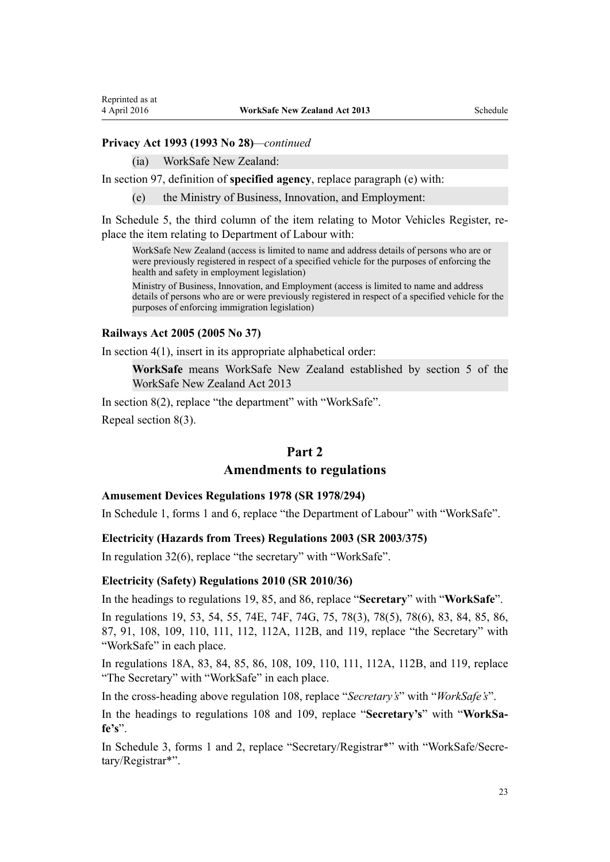#### **Privacy Act 1993 (1993 No 28)***—continued*

(ia) WorkSafe New Zealand:

In [section 97,](http://prd-lgnz-nlb.prd.pco.net.nz/pdflink.aspx?id=DLM297916) definition of **specified agency**, replace paragraph (e) with:

(e) the Ministry of Business, Innovation, and Employment:

In [Schedule 5,](http://prd-lgnz-nlb.prd.pco.net.nz/pdflink.aspx?id=DLM298798) the third column of the item relating to Motor Vehicles Register, replace the item relating to Department of Labour with:

WorkSafe New Zealand (access is limited to name and address details of persons who are or were previously registered in respect of a specified vehicle for the purposes of enforcing the health and safety in employment legislation)

Ministry of Business, Innovation, and Employment (access is limited to name and address details of persons who are or were previously registered in respect of a specified vehicle for the purposes of enforcing immigration legislation)

#### **[Railways Act 2005](http://prd-lgnz-nlb.prd.pco.net.nz/pdflink.aspx?id=DLM341567) (2005 No 37)**

In section  $4(1)$ , insert in its appropriate alphabetical order:

**WorkSafe** means WorkSafe New Zealand established by section 5 of the WorkSafe New Zealand Act 2013

In [section 8\(2\)](http://prd-lgnz-nlb.prd.pco.net.nz/pdflink.aspx?id=DLM342269), replace "the department" with "WorkSafe". Repeal [section 8\(3\).](http://prd-lgnz-nlb.prd.pco.net.nz/pdflink.aspx?id=DLM342269)

#### **Part 2**

#### **Amendments to regulations**

#### **[Amusement Devices Regulations 1978](http://prd-lgnz-nlb.prd.pco.net.nz/pdflink.aspx?id=DLM64224) (SR 1978/294)**

In [Schedule 1](http://prd-lgnz-nlb.prd.pco.net.nz/pdflink.aspx?id=DLM64270), forms 1 and 6, replace "the Department of Labour" with "WorkSafe".

#### **[Electricity \(Hazards from Trees\) Regulations 2003](http://prd-lgnz-nlb.prd.pco.net.nz/pdflink.aspx?id=DLM233404) (SR 2003/375)**

In [regulation 32\(6\)](http://prd-lgnz-nlb.prd.pco.net.nz/pdflink.aspx?id=DLM233484), replace "the secretary" with "WorkSafe".

#### **[Electricity \(Safety\) Regulations 2010](http://prd-lgnz-nlb.prd.pco.net.nz/pdflink.aspx?id=DLM2763500) (SR 2010/36)**

In the headings to [regulations 19,](http://prd-lgnz-nlb.prd.pco.net.nz/pdflink.aspx?id=DLM2763642) [85,](http://prd-lgnz-nlb.prd.pco.net.nz/pdflink.aspx?id=DLM2763726) and [86,](http://prd-lgnz-nlb.prd.pco.net.nz/pdflink.aspx?id=DLM2763727) replace "**Secretary**" with "**WorkSafe**".

In [regulations 19,](http://prd-lgnz-nlb.prd.pco.net.nz/pdflink.aspx?id=DLM2763642) [53,](http://prd-lgnz-nlb.prd.pco.net.nz/pdflink.aspx?id=DLM2763683) [54,](http://prd-lgnz-nlb.prd.pco.net.nz/pdflink.aspx?id=DLM2763684) [55,](http://prd-lgnz-nlb.prd.pco.net.nz/pdflink.aspx?id=DLM2763685) [74E,](http://prd-lgnz-nlb.prd.pco.net.nz/pdflink.aspx?id=DLM5341141) [74F](http://prd-lgnz-nlb.prd.pco.net.nz/pdflink.aspx?id=DLM5341146), [74G,](http://prd-lgnz-nlb.prd.pco.net.nz/pdflink.aspx?id=DLM5341147) [75,](http://prd-lgnz-nlb.prd.pco.net.nz/pdflink.aspx?id=DLM3016140) [78\(3\)](http://prd-lgnz-nlb.prd.pco.net.nz/pdflink.aspx?id=DLM3016144), 78(5), 78(6), [83](http://prd-lgnz-nlb.prd.pco.net.nz/pdflink.aspx?id=DLM3016151), [84](http://prd-lgnz-nlb.prd.pco.net.nz/pdflink.aspx?id=DLM3016152), [85](http://prd-lgnz-nlb.prd.pco.net.nz/pdflink.aspx?id=DLM3016153), [86](http://prd-lgnz-nlb.prd.pco.net.nz/pdflink.aspx?id=DLM3016154), [87,](http://prd-lgnz-nlb.prd.pco.net.nz/pdflink.aspx?id=DLM3016155) [91](http://prd-lgnz-nlb.prd.pco.net.nz/pdflink.aspx?id=DLM3016161), [108](http://prd-lgnz-nlb.prd.pco.net.nz/pdflink.aspx?id=DLM2763759), [109](http://prd-lgnz-nlb.prd.pco.net.nz/pdflink.aspx?id=DLM2763760), [110](http://prd-lgnz-nlb.prd.pco.net.nz/pdflink.aspx?id=DLM2763761), [111](http://prd-lgnz-nlb.prd.pco.net.nz/pdflink.aspx?id=DLM2763763), [112](http://prd-lgnz-nlb.prd.pco.net.nz/pdflink.aspx?id=DLM2763764), [112A](http://prd-lgnz-nlb.prd.pco.net.nz/pdflink.aspx?id=DLM5343650), [112B](http://prd-lgnz-nlb.prd.pco.net.nz/pdflink.aspx?id=DLM5343651), and [119,](http://prd-lgnz-nlb.prd.pco.net.nz/pdflink.aspx?id=DLM2763774) replace "the Secretary" with "WorkSafe" in each place.

In [regulations 18A,](http://prd-lgnz-nlb.prd.pco.net.nz/pdflink.aspx?id=DLM5345451) [83](http://prd-lgnz-nlb.prd.pco.net.nz/pdflink.aspx?id=DLM3016151), [84](http://prd-lgnz-nlb.prd.pco.net.nz/pdflink.aspx?id=DLM3016152), [85](http://prd-lgnz-nlb.prd.pco.net.nz/pdflink.aspx?id=DLM3016153), [86,](http://prd-lgnz-nlb.prd.pco.net.nz/pdflink.aspx?id=DLM3016154) [108,](http://prd-lgnz-nlb.prd.pco.net.nz/pdflink.aspx?id=DLM2763759) [109](http://prd-lgnz-nlb.prd.pco.net.nz/pdflink.aspx?id=DLM2763760), [110](http://prd-lgnz-nlb.prd.pco.net.nz/pdflink.aspx?id=DLM2763761), [111](http://prd-lgnz-nlb.prd.pco.net.nz/pdflink.aspx?id=DLM2763763), [112A](http://prd-lgnz-nlb.prd.pco.net.nz/pdflink.aspx?id=DLM5343650), [112B](http://prd-lgnz-nlb.prd.pco.net.nz/pdflink.aspx?id=DLM5343651), and [119,](http://prd-lgnz-nlb.prd.pco.net.nz/pdflink.aspx?id=DLM2763774) replace "The Secretary" with "WorkSafe" in each place.

In the cross-heading above [regulation 108](http://prd-lgnz-nlb.prd.pco.net.nz/pdflink.aspx?id=DLM2763759), replace "*Secretary's*" with "*WorkSafe's*".

In the headings to [regulations 108](http://prd-lgnz-nlb.prd.pco.net.nz/pdflink.aspx?id=DLM2763759) and [109,](http://prd-lgnz-nlb.prd.pco.net.nz/pdflink.aspx?id=DLM2763760) replace "**Secretary's**" with "**WorkSafe's**".

In [Schedule 3](http://prd-lgnz-nlb.prd.pco.net.nz/pdflink.aspx?id=DLM2763787), forms 1 and 2, replace "Secretary/Registrar\*" with "WorkSafe/Secretary/Registrar\*".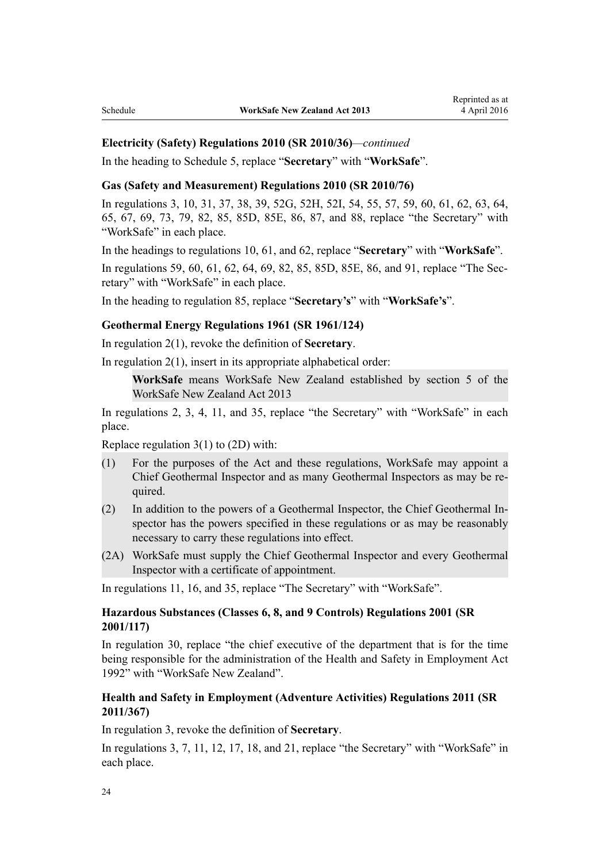#### **Electricity (Safety) Regulations 2010 (SR 2010/36)***—continued*

In the heading to [Schedule 5](http://prd-lgnz-nlb.prd.pco.net.nz/pdflink.aspx?id=DLM2763792), replace "**Secretary**" with "**WorkSafe**".

## **[Gas \(Safety and Measurement\) Regulations 2010](http://prd-lgnz-nlb.prd.pco.net.nz/pdflink.aspx?id=DLM2359500) (SR 2010/76)**

In [regulations 3](http://prd-lgnz-nlb.prd.pco.net.nz/pdflink.aspx?id=DLM2359507), [10,](http://prd-lgnz-nlb.prd.pco.net.nz/pdflink.aspx?id=DLM2359575) [31,](http://prd-lgnz-nlb.prd.pco.net.nz/pdflink.aspx?id=DLM2359661) [37](http://prd-lgnz-nlb.prd.pco.net.nz/pdflink.aspx?id=DLM2369602), [38,](http://prd-lgnz-nlb.prd.pco.net.nz/pdflink.aspx?id=DLM2359667) [39,](http://prd-lgnz-nlb.prd.pco.net.nz/pdflink.aspx?id=DLM2369603) [52G,](http://prd-lgnz-nlb.prd.pco.net.nz/pdflink.aspx?id=DLM5389977) [52H,](http://prd-lgnz-nlb.prd.pco.net.nz/pdflink.aspx?id=DLM5389979) [52I](http://prd-lgnz-nlb.prd.pco.net.nz/pdflink.aspx?id=DLM5389980), [54,](http://prd-lgnz-nlb.prd.pco.net.nz/pdflink.aspx?id=DLM2816539) [55](http://prd-lgnz-nlb.prd.pco.net.nz/pdflink.aspx?id=DLM2659020), [57](http://prd-lgnz-nlb.prd.pco.net.nz/pdflink.aspx?id=DLM2659021), [59,](http://prd-lgnz-nlb.prd.pco.net.nz/pdflink.aspx?id=DLM2659022) [60](http://prd-lgnz-nlb.prd.pco.net.nz/pdflink.aspx?id=DLM2659024), [61](http://prd-lgnz-nlb.prd.pco.net.nz/pdflink.aspx?id=DLM2695404), [62,](http://prd-lgnz-nlb.prd.pco.net.nz/pdflink.aspx?id=DLM2695405) [63,](http://prd-lgnz-nlb.prd.pco.net.nz/pdflink.aspx?id=DLM2659025) [64](http://prd-lgnz-nlb.prd.pco.net.nz/pdflink.aspx?id=DLM2659027), [65,](http://prd-lgnz-nlb.prd.pco.net.nz/pdflink.aspx?id=DLM2359600) [67,](http://prd-lgnz-nlb.prd.pco.net.nz/pdflink.aspx?id=DLM2359603) [69](http://prd-lgnz-nlb.prd.pco.net.nz/pdflink.aspx?id=DLM2359605), [73](http://prd-lgnz-nlb.prd.pco.net.nz/pdflink.aspx?id=DLM2359612), [79,](http://prd-lgnz-nlb.prd.pco.net.nz/pdflink.aspx?id=DLM2359617) [82,](http://prd-lgnz-nlb.prd.pco.net.nz/pdflink.aspx?id=DLM2359620) [85,](http://prd-lgnz-nlb.prd.pco.net.nz/pdflink.aspx?id=DLM2359636) [85D,](http://prd-lgnz-nlb.prd.pco.net.nz/pdflink.aspx?id=DLM5389991) [85E,](http://prd-lgnz-nlb.prd.pco.net.nz/pdflink.aspx?id=DLM5389992) [86](http://prd-lgnz-nlb.prd.pco.net.nz/pdflink.aspx?id=DLM2359638), [87](http://prd-lgnz-nlb.prd.pco.net.nz/pdflink.aspx?id=DLM2359639), and [88](http://prd-lgnz-nlb.prd.pco.net.nz/pdflink.aspx?id=DLM2359640), replace "the Secretary" with "WorkSafe" in each place.

In the headings to [regulations 10,](http://prd-lgnz-nlb.prd.pco.net.nz/pdflink.aspx?id=DLM2359575) [61,](http://prd-lgnz-nlb.prd.pco.net.nz/pdflink.aspx?id=DLM2695404) and [62,](http://prd-lgnz-nlb.prd.pco.net.nz/pdflink.aspx?id=DLM2695405) replace "**Secretary**" with "**WorkSafe**".

In [regulations 59,](http://prd-lgnz-nlb.prd.pco.net.nz/pdflink.aspx?id=DLM2659022) [60](http://prd-lgnz-nlb.prd.pco.net.nz/pdflink.aspx?id=DLM2659024), [61](http://prd-lgnz-nlb.prd.pco.net.nz/pdflink.aspx?id=DLM2695404), [62,](http://prd-lgnz-nlb.prd.pco.net.nz/pdflink.aspx?id=DLM2695405) [64](http://prd-lgnz-nlb.prd.pco.net.nz/pdflink.aspx?id=DLM2659027), [69,](http://prd-lgnz-nlb.prd.pco.net.nz/pdflink.aspx?id=DLM2359605) [82,](http://prd-lgnz-nlb.prd.pco.net.nz/pdflink.aspx?id=DLM2359620) [85](http://prd-lgnz-nlb.prd.pco.net.nz/pdflink.aspx?id=DLM2359636), [85D](http://prd-lgnz-nlb.prd.pco.net.nz/pdflink.aspx?id=DLM5389991), [85E,](http://prd-lgnz-nlb.prd.pco.net.nz/pdflink.aspx?id=DLM5389992) [86](http://prd-lgnz-nlb.prd.pco.net.nz/pdflink.aspx?id=DLM2359638), and [91,](http://prd-lgnz-nlb.prd.pco.net.nz/pdflink.aspx?id=DLM2797815) replace "The Secretary" with "WorkSafe" in each place.

In the heading to [regulation 85,](http://prd-lgnz-nlb.prd.pco.net.nz/pdflink.aspx?id=DLM2359636) replace "**Secretary's**" with "**WorkSafe's**".

#### **[Geothermal Energy Regulations 1961](http://prd-lgnz-nlb.prd.pco.net.nz/pdflink.aspx?id=DLM15784) (SR 1961/124)**

In [regulation 2\(1\)](http://prd-lgnz-nlb.prd.pco.net.nz/pdflink.aspx?id=DLM16227), revoke the definition of **Secretary**.

In regulation  $2(1)$ , insert in its appropriate alphabetical order:

**WorkSafe** means WorkSafe New Zealand established by section 5 of the WorkSafe New Zealand Act 2013

In [regulations 2,](http://prd-lgnz-nlb.prd.pco.net.nz/pdflink.aspx?id=DLM15790) [3,](http://prd-lgnz-nlb.prd.pco.net.nz/pdflink.aspx?id=DLM16041) [4,](http://prd-lgnz-nlb.prd.pco.net.nz/pdflink.aspx?id=DLM16047) [11,](http://prd-lgnz-nlb.prd.pco.net.nz/pdflink.aspx?id=DLM16062) and [35,](http://prd-lgnz-nlb.prd.pco.net.nz/pdflink.aspx?id=DLM16213) replace "the Secretary" with "WorkSafe" in each place.

Replace [regulation 3\(1\) to \(2D\)](http://prd-lgnz-nlb.prd.pco.net.nz/pdflink.aspx?id=DLM16041) with:

- (1) For the purposes of the Act and these regulations, WorkSafe may appoint a Chief Geothermal Inspector and as many Geothermal Inspectors as may be required.
- (2) In addition to the powers of a Geothermal Inspector, the Chief Geothermal Inspector has the powers specified in these regulations or as may be reasonably necessary to carry these regulations into effect.
- (2A) WorkSafe must supply the Chief Geothermal Inspector and every Geothermal Inspector with a certificate of appointment.

In [regulations 11,](http://prd-lgnz-nlb.prd.pco.net.nz/pdflink.aspx?id=DLM16062) [16,](http://prd-lgnz-nlb.prd.pco.net.nz/pdflink.aspx?id=DLM16074) and [35,](http://prd-lgnz-nlb.prd.pco.net.nz/pdflink.aspx?id=DLM16213) replace "The Secretary" with "WorkSafe".

## **[Hazardous Substances \(Classes 6, 8, and 9 Controls\) Regulations 2001](http://prd-lgnz-nlb.prd.pco.net.nz/pdflink.aspx?id=DLM39613) (SR 2001/117)**

In [regulation 30](http://prd-lgnz-nlb.prd.pco.net.nz/pdflink.aspx?id=DLM40718), replace "the chief executive of the department that is for the time being responsible for the administration of the Health and Safety in Employment Act 1992" with "WorkSafe New Zealand".

### **[Health and Safety in Employment \(Adventure Activities\) Regulations 2011](http://prd-lgnz-nlb.prd.pco.net.nz/pdflink.aspx?id=DLM3961551) (SR 2011/367)**

In [regulation 3,](http://prd-lgnz-nlb.prd.pco.net.nz/pdflink.aspx?id=DLM3961557) revoke the definition of **Secretary**.

In [regulations 3,](http://prd-lgnz-nlb.prd.pco.net.nz/pdflink.aspx?id=DLM3961557) [7](http://prd-lgnz-nlb.prd.pco.net.nz/pdflink.aspx?id=DLM3961515), [11](http://prd-lgnz-nlb.prd.pco.net.nz/pdflink.aspx?id=DLM3961507), [12](http://prd-lgnz-nlb.prd.pco.net.nz/pdflink.aspx?id=DLM3961524), [17,](http://prd-lgnz-nlb.prd.pco.net.nz/pdflink.aspx?id=DLM3961503) [18](http://prd-lgnz-nlb.prd.pco.net.nz/pdflink.aspx?id=DLM3961532), and [21](http://prd-lgnz-nlb.prd.pco.net.nz/pdflink.aspx?id=DLM4080406), replace "the Secretary" with "WorkSafe" in each place.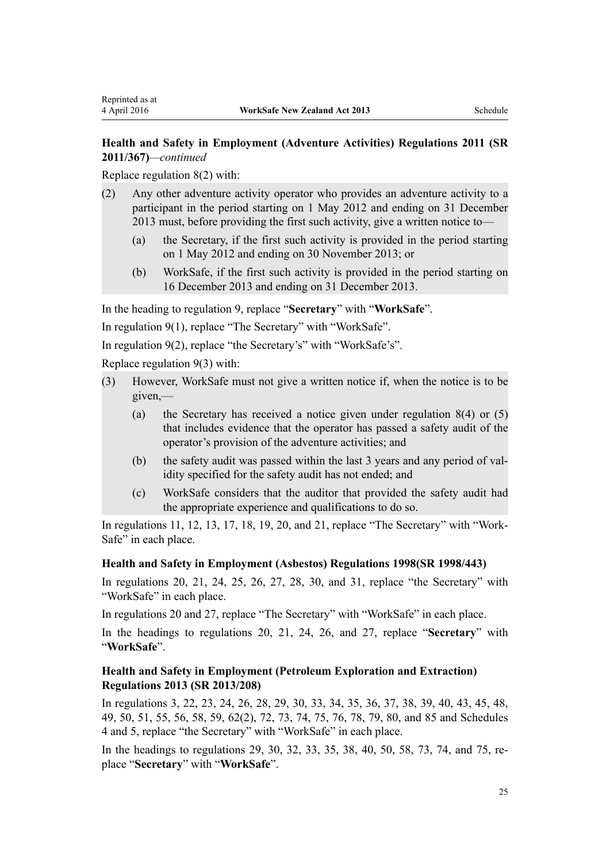## **Health and Safety in Employment (Adventure Activities) Regulations 2011 (SR 2011/367)***—continued*

Replace [regulation 8\(2\)](http://prd-lgnz-nlb.prd.pco.net.nz/pdflink.aspx?id=DLM3961519) with:

- (2) Any other adventure activity operator who provides an adventure activity to a participant in the period starting on 1 May 2012 and ending on 31 December 2013 must, before providing the first such activity, give a written notice to—
	- (a) the Secretary, if the first such activity is provided in the period starting on 1 May 2012 and ending on 30 November 2013; or
	- (b) WorkSafe, if the first such activity is provided in the period starting on 16 December 2013 and ending on 31 December 2013.

In the heading to [regulation 9,](http://prd-lgnz-nlb.prd.pco.net.nz/pdflink.aspx?id=DLM3961517) replace "**Secretary**" with "**WorkSafe**".

In [regulation 9\(1\)](http://prd-lgnz-nlb.prd.pco.net.nz/pdflink.aspx?id=DLM3961517), replace "The Secretary" with "WorkSafe".

In [regulation 9\(2\)](http://prd-lgnz-nlb.prd.pco.net.nz/pdflink.aspx?id=DLM3961517), replace "the Secretary's" with "WorkSafe's".

Replace [regulation 9\(3\)](http://prd-lgnz-nlb.prd.pco.net.nz/pdflink.aspx?id=DLM3961517) with:

- (3) However, WorkSafe must not give a written notice if, when the notice is to be given,—
	- (a) the Secretary has received a notice given under regulation 8(4) or (5) that includes evidence that the operator has passed a safety audit of the operator's provision of the adventure activities; and
	- (b) the safety audit was passed within the last 3 years and any period of validity specified for the safety audit has not ended; and
	- (c) WorkSafe considers that the auditor that provided the safety audit had the appropriate experience and qualifications to do so.

In [regulations 11](http://prd-lgnz-nlb.prd.pco.net.nz/pdflink.aspx?id=DLM3961507), [12](http://prd-lgnz-nlb.prd.pco.net.nz/pdflink.aspx?id=DLM3961524), [13,](http://prd-lgnz-nlb.prd.pco.net.nz/pdflink.aspx?id=DLM3961595) [17](http://prd-lgnz-nlb.prd.pco.net.nz/pdflink.aspx?id=DLM3961503), [18,](http://prd-lgnz-nlb.prd.pco.net.nz/pdflink.aspx?id=DLM3961532) [19](http://prd-lgnz-nlb.prd.pco.net.nz/pdflink.aspx?id=DLM3961602), [20,](http://prd-lgnz-nlb.prd.pco.net.nz/pdflink.aspx?id=DLM3961505) and [21,](http://prd-lgnz-nlb.prd.pco.net.nz/pdflink.aspx?id=DLM4080406) replace "The Secretary" with "Work-Safe" in each place.

#### **[Health and Safety in Employment \(Asbestos\) Regulations 1998](http://prd-lgnz-nlb.prd.pco.net.nz/pdflink.aspx?id=DLM269297)(SR 1998/443)**

In [regulations 20,](http://prd-lgnz-nlb.prd.pco.net.nz/pdflink.aspx?id=DLM269557) [21,](http://prd-lgnz-nlb.prd.pco.net.nz/pdflink.aspx?id=DLM269558) [24,](http://prd-lgnz-nlb.prd.pco.net.nz/pdflink.aspx?id=DLM269561) [25](http://prd-lgnz-nlb.prd.pco.net.nz/pdflink.aspx?id=DLM269562), [26](http://prd-lgnz-nlb.prd.pco.net.nz/pdflink.aspx?id=DLM269563), [27](http://prd-lgnz-nlb.prd.pco.net.nz/pdflink.aspx?id=DLM269564), [28](http://prd-lgnz-nlb.prd.pco.net.nz/pdflink.aspx?id=DLM269565), [30](http://prd-lgnz-nlb.prd.pco.net.nz/pdflink.aspx?id=DLM269568), and [31,](http://prd-lgnz-nlb.prd.pco.net.nz/pdflink.aspx?id=DLM269569) replace "the Secretary" with "WorkSafe" in each place.

In [regulations 20](http://prd-lgnz-nlb.prd.pco.net.nz/pdflink.aspx?id=DLM269557) and [27,](http://prd-lgnz-nlb.prd.pco.net.nz/pdflink.aspx?id=DLM269564) replace "The Secretary" with "WorkSafe" in each place.

In the headings to [regulations 20](http://prd-lgnz-nlb.prd.pco.net.nz/pdflink.aspx?id=DLM269557), [21](http://prd-lgnz-nlb.prd.pco.net.nz/pdflink.aspx?id=DLM269558), [24](http://prd-lgnz-nlb.prd.pco.net.nz/pdflink.aspx?id=DLM269561), [26](http://prd-lgnz-nlb.prd.pco.net.nz/pdflink.aspx?id=DLM269563), and [27](http://prd-lgnz-nlb.prd.pco.net.nz/pdflink.aspx?id=DLM269564), replace "**Secretary**" with "**WorkSafe**".

## **[Health and Safety in Employment \(Petroleum Exploration and Extraction\)](http://prd-lgnz-nlb.prd.pco.net.nz/pdflink.aspx?id=DLM5203557) [Regulations 2013](http://prd-lgnz-nlb.prd.pco.net.nz/pdflink.aspx?id=DLM5203557) (SR 2013/208)**

In [regulations 3,](http://prd-lgnz-nlb.prd.pco.net.nz/pdflink.aspx?id=DLM5202538) [22](http://prd-lgnz-nlb.prd.pco.net.nz/pdflink.aspx?id=DLM5202577), [23](http://prd-lgnz-nlb.prd.pco.net.nz/pdflink.aspx?id=DLM5203360), [24,](http://prd-lgnz-nlb.prd.pco.net.nz/pdflink.aspx?id=DLM5202591) [26,](http://prd-lgnz-nlb.prd.pco.net.nz/pdflink.aspx?id=DLM5202531) [28,](http://prd-lgnz-nlb.prd.pco.net.nz/pdflink.aspx?id=DLM5202596) [29](http://prd-lgnz-nlb.prd.pco.net.nz/pdflink.aspx?id=DLM5202545), [30](http://prd-lgnz-nlb.prd.pco.net.nz/pdflink.aspx?id=DLM5202569), [33](http://prd-lgnz-nlb.prd.pco.net.nz/pdflink.aspx?id=DLM5202563), [34,](http://prd-lgnz-nlb.prd.pco.net.nz/pdflink.aspx?id=DLM5202558) [35,](http://prd-lgnz-nlb.prd.pco.net.nz/pdflink.aspx?id=DLM5202556) [36](http://prd-lgnz-nlb.prd.pco.net.nz/pdflink.aspx?id=DLM5202560), [37](http://prd-lgnz-nlb.prd.pco.net.nz/pdflink.aspx?id=DLM5203762), [38](http://prd-lgnz-nlb.prd.pco.net.nz/pdflink.aspx?id=DLM5203764), [39,](http://prd-lgnz-nlb.prd.pco.net.nz/pdflink.aspx?id=DLM5202571) [40,](http://prd-lgnz-nlb.prd.pco.net.nz/pdflink.aspx?id=DLM5203766) [43,](http://prd-lgnz-nlb.prd.pco.net.nz/pdflink.aspx?id=DLM5203770) [45](http://prd-lgnz-nlb.prd.pco.net.nz/pdflink.aspx?id=DLM5203306), [48](http://prd-lgnz-nlb.prd.pco.net.nz/pdflink.aspx?id=DLM5203773), [49,](http://prd-lgnz-nlb.prd.pco.net.nz/pdflink.aspx?id=DLM5202589) [50](http://prd-lgnz-nlb.prd.pco.net.nz/pdflink.aspx?id=DLM5203774), [51](http://prd-lgnz-nlb.prd.pco.net.nz/pdflink.aspx?id=DLM5203775), [55,](http://prd-lgnz-nlb.prd.pco.net.nz/pdflink.aspx?id=DLM5203300) [56](http://prd-lgnz-nlb.prd.pco.net.nz/pdflink.aspx?id=DLM5203308), [58,](http://prd-lgnz-nlb.prd.pco.net.nz/pdflink.aspx?id=DLM5203320) [59,](http://prd-lgnz-nlb.prd.pco.net.nz/pdflink.aspx?id=DLM5203314) [62\(2\),](http://prd-lgnz-nlb.prd.pco.net.nz/pdflink.aspx?id=DLM5203780) [72](http://prd-lgnz-nlb.prd.pco.net.nz/pdflink.aspx?id=DLM5203394), [73,](http://prd-lgnz-nlb.prd.pco.net.nz/pdflink.aspx?id=DLM5203330) [74,](http://prd-lgnz-nlb.prd.pco.net.nz/pdflink.aspx?id=DLM5203328) [75](http://prd-lgnz-nlb.prd.pco.net.nz/pdflink.aspx?id=DLM5203789), [76,](http://prd-lgnz-nlb.prd.pco.net.nz/pdflink.aspx?id=DLM5203398) [78](http://prd-lgnz-nlb.prd.pco.net.nz/pdflink.aspx?id=DLM5203500), [79](http://prd-lgnz-nlb.prd.pco.net.nz/pdflink.aspx?id=DLM5202508), [80,](http://prd-lgnz-nlb.prd.pco.net.nz/pdflink.aspx?id=DLM5203503) and [85](http://prd-lgnz-nlb.prd.pco.net.nz/pdflink.aspx?id=DLM5203527) and [Schedules](http://prd-lgnz-nlb.prd.pco.net.nz/pdflink.aspx?id=DLM5202522) [4](http://prd-lgnz-nlb.prd.pco.net.nz/pdflink.aspx?id=DLM5202522) and [5](http://prd-lgnz-nlb.prd.pco.net.nz/pdflink.aspx?id=DLM5202585), replace "the Secretary" with "WorkSafe" in each place.

In the headings to [regulations 29,](http://prd-lgnz-nlb.prd.pco.net.nz/pdflink.aspx?id=DLM5202545) [30](http://prd-lgnz-nlb.prd.pco.net.nz/pdflink.aspx?id=DLM5202569), [32](http://prd-lgnz-nlb.prd.pco.net.nz/pdflink.aspx?id=DLM5202552), [33,](http://prd-lgnz-nlb.prd.pco.net.nz/pdflink.aspx?id=DLM5202563) [35,](http://prd-lgnz-nlb.prd.pco.net.nz/pdflink.aspx?id=DLM5202556) [38](http://prd-lgnz-nlb.prd.pco.net.nz/pdflink.aspx?id=DLM5203764), [40,](http://prd-lgnz-nlb.prd.pco.net.nz/pdflink.aspx?id=DLM5203766) [50,](http://prd-lgnz-nlb.prd.pco.net.nz/pdflink.aspx?id=DLM5203774) [58](http://prd-lgnz-nlb.prd.pco.net.nz/pdflink.aspx?id=DLM5203320), [73](http://prd-lgnz-nlb.prd.pco.net.nz/pdflink.aspx?id=DLM5203330), [74,](http://prd-lgnz-nlb.prd.pco.net.nz/pdflink.aspx?id=DLM5203328) and [75,](http://prd-lgnz-nlb.prd.pco.net.nz/pdflink.aspx?id=DLM5203789) replace "**Secretary**" with "**WorkSafe**".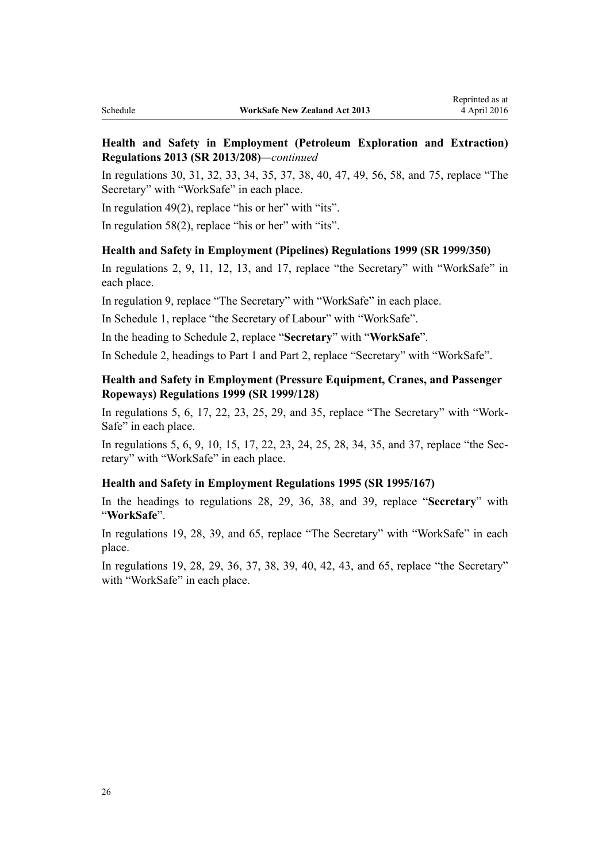## **Health and Safety in Employment (Petroleum Exploration and Extraction) Regulations 2013 (SR 2013/208)***—continued*

In [regulations 30](http://prd-lgnz-nlb.prd.pco.net.nz/pdflink.aspx?id=DLM5202569), [31](http://prd-lgnz-nlb.prd.pco.net.nz/pdflink.aspx?id=DLM5202549), [32,](http://prd-lgnz-nlb.prd.pco.net.nz/pdflink.aspx?id=DLM5202552) [33,](http://prd-lgnz-nlb.prd.pco.net.nz/pdflink.aspx?id=DLM5202563) [34,](http://prd-lgnz-nlb.prd.pco.net.nz/pdflink.aspx?id=DLM5202558) [35](http://prd-lgnz-nlb.prd.pco.net.nz/pdflink.aspx?id=DLM5202556), [37](http://prd-lgnz-nlb.prd.pco.net.nz/pdflink.aspx?id=DLM5203762), [38](http://prd-lgnz-nlb.prd.pco.net.nz/pdflink.aspx?id=DLM5203764), [40,](http://prd-lgnz-nlb.prd.pco.net.nz/pdflink.aspx?id=DLM5203766) [47,](http://prd-lgnz-nlb.prd.pco.net.nz/pdflink.aspx?id=DLM5202515) [49,](http://prd-lgnz-nlb.prd.pco.net.nz/pdflink.aspx?id=DLM5202589) [56](http://prd-lgnz-nlb.prd.pco.net.nz/pdflink.aspx?id=DLM5203308), [58](http://prd-lgnz-nlb.prd.pco.net.nz/pdflink.aspx?id=DLM5203320), and [75](http://prd-lgnz-nlb.prd.pco.net.nz/pdflink.aspx?id=DLM5203789), replace "The Secretary" with "WorkSafe" in each place.

In regulation  $49(2)$ , replace "his or her" with "its".

In [regulation 58\(2\)](http://prd-lgnz-nlb.prd.pco.net.nz/pdflink.aspx?id=DLM5203320), replace "his or her" with "its".

#### **[Health and Safety in Employment \(Pipelines\) Regulations 1999](http://prd-lgnz-nlb.prd.pco.net.nz/pdflink.aspx?id=DLM298847) (SR 1999/350)**

In [regulations 2](http://prd-lgnz-nlb.prd.pco.net.nz/pdflink.aspx?id=DLM299628), [9,](http://prd-lgnz-nlb.prd.pco.net.nz/pdflink.aspx?id=DLM298892) [11](http://prd-lgnz-nlb.prd.pco.net.nz/pdflink.aspx?id=DLM299606), [12,](http://prd-lgnz-nlb.prd.pco.net.nz/pdflink.aspx?id=DLM299609) [13](http://prd-lgnz-nlb.prd.pco.net.nz/pdflink.aspx?id=DLM299610), and [17,](http://prd-lgnz-nlb.prd.pco.net.nz/pdflink.aspx?id=DLM299615) replace "the Secretary" with "WorkSafe" in each place.

In regulation 9, replace "The Secretary" with "WorkSafe" in each place.

In [Schedule 1](http://prd-lgnz-nlb.prd.pco.net.nz/pdflink.aspx?id=DLM299621), replace "the Secretary of Labour" with "WorkSafe".

In the heading to [Schedule 2](http://prd-lgnz-nlb.prd.pco.net.nz/pdflink.aspx?id=DLM299625), replace "**Secretary**" with "**WorkSafe**".

In [Schedule 2](http://prd-lgnz-nlb.prd.pco.net.nz/pdflink.aspx?id=DLM299625), headings to Part 1 and Part 2, replace "Secretary" with "WorkSafe".

### **[Health and Safety in Employment \(Pressure Equipment, Cranes, and Passenger](http://prd-lgnz-nlb.prd.pco.net.nz/pdflink.aspx?id=DLM284451) [Ropeways\) Regulations 1999](http://prd-lgnz-nlb.prd.pco.net.nz/pdflink.aspx?id=DLM284451) (SR 1999/128)**

In [regulations 5](http://prd-lgnz-nlb.prd.pco.net.nz/pdflink.aspx?id=DLM284462), [6,](http://prd-lgnz-nlb.prd.pco.net.nz/pdflink.aspx?id=DLM284463) [17,](http://prd-lgnz-nlb.prd.pco.net.nz/pdflink.aspx?id=DLM284481) [22,](http://prd-lgnz-nlb.prd.pco.net.nz/pdflink.aspx?id=DLM284493) [23](http://prd-lgnz-nlb.prd.pco.net.nz/pdflink.aspx?id=DLM284495), [25](http://prd-lgnz-nlb.prd.pco.net.nz/pdflink.aspx?id=DLM284498), [29](http://prd-lgnz-nlb.prd.pco.net.nz/pdflink.aspx?id=DLM284805), and [35,](http://prd-lgnz-nlb.prd.pco.net.nz/pdflink.aspx?id=DLM284815) replace "The Secretary" with "Work-Safe" in each place.

In [regulations 5](http://prd-lgnz-nlb.prd.pco.net.nz/pdflink.aspx?id=DLM284462), [6](http://prd-lgnz-nlb.prd.pco.net.nz/pdflink.aspx?id=DLM284463), [9](http://prd-lgnz-nlb.prd.pco.net.nz/pdflink.aspx?id=DLM284468), [10,](http://prd-lgnz-nlb.prd.pco.net.nz/pdflink.aspx?id=DLM284471) [15](http://prd-lgnz-nlb.prd.pco.net.nz/pdflink.aspx?id=DLM284478), [17](http://prd-lgnz-nlb.prd.pco.net.nz/pdflink.aspx?id=DLM284481), [22,](http://prd-lgnz-nlb.prd.pco.net.nz/pdflink.aspx?id=DLM284493) [23,](http://prd-lgnz-nlb.prd.pco.net.nz/pdflink.aspx?id=DLM284495) [24](http://prd-lgnz-nlb.prd.pco.net.nz/pdflink.aspx?id=DLM284497), [25,](http://prd-lgnz-nlb.prd.pco.net.nz/pdflink.aspx?id=DLM284498) [28,](http://prd-lgnz-nlb.prd.pco.net.nz/pdflink.aspx?id=DLM284803) [34](http://prd-lgnz-nlb.prd.pco.net.nz/pdflink.aspx?id=DLM284813), [35,](http://prd-lgnz-nlb.prd.pco.net.nz/pdflink.aspx?id=DLM284815) and [37](http://prd-lgnz-nlb.prd.pco.net.nz/pdflink.aspx?id=DLM284818), replace "the Secretary" with "WorkSafe" in each place.

#### **[Health and Safety in Employment Regulations 1995](http://prd-lgnz-nlb.prd.pco.net.nz/pdflink.aspx?id=DLM202256) (SR 1995/167)**

In the headings to [regulations 28](http://prd-lgnz-nlb.prd.pco.net.nz/pdflink.aspx?id=DLM202771), [29](http://prd-lgnz-nlb.prd.pco.net.nz/pdflink.aspx?id=DLM202772), [36](http://prd-lgnz-nlb.prd.pco.net.nz/pdflink.aspx?id=DLM202781), [38](http://prd-lgnz-nlb.prd.pco.net.nz/pdflink.aspx?id=DLM202783), and [39](http://prd-lgnz-nlb.prd.pco.net.nz/pdflink.aspx?id=DLM202784), replace "**Secretary**" with "**WorkSafe**".

In regulations 19, [28,](http://prd-lgnz-nlb.prd.pco.net.nz/pdflink.aspx?id=DLM202771) [39,](http://prd-lgnz-nlb.prd.pco.net.nz/pdflink.aspx?id=DLM202784) and 65, replace "The Secretary" with "WorkSafe" in each place.

In regulations 19, [28](http://prd-lgnz-nlb.prd.pco.net.nz/pdflink.aspx?id=DLM202771), [29](http://prd-lgnz-nlb.prd.pco.net.nz/pdflink.aspx?id=DLM202772), [36](http://prd-lgnz-nlb.prd.pco.net.nz/pdflink.aspx?id=DLM202781), [37,](http://prd-lgnz-nlb.prd.pco.net.nz/pdflink.aspx?id=DLM202782) [38,](http://prd-lgnz-nlb.prd.pco.net.nz/pdflink.aspx?id=DLM202783) [39,](http://prd-lgnz-nlb.prd.pco.net.nz/pdflink.aspx?id=DLM202784) [40](http://prd-lgnz-nlb.prd.pco.net.nz/pdflink.aspx?id=DLM202785), [42](http://prd-lgnz-nlb.prd.pco.net.nz/pdflink.aspx?id=DLM202788), [43](http://prd-lgnz-nlb.prd.pco.net.nz/pdflink.aspx?id=DLM202789), and [65,](http://prd-lgnz-nlb.prd.pco.net.nz/pdflink.aspx?id=DLM203135) replace "the Secretary" with "WorkSafe" in each place.